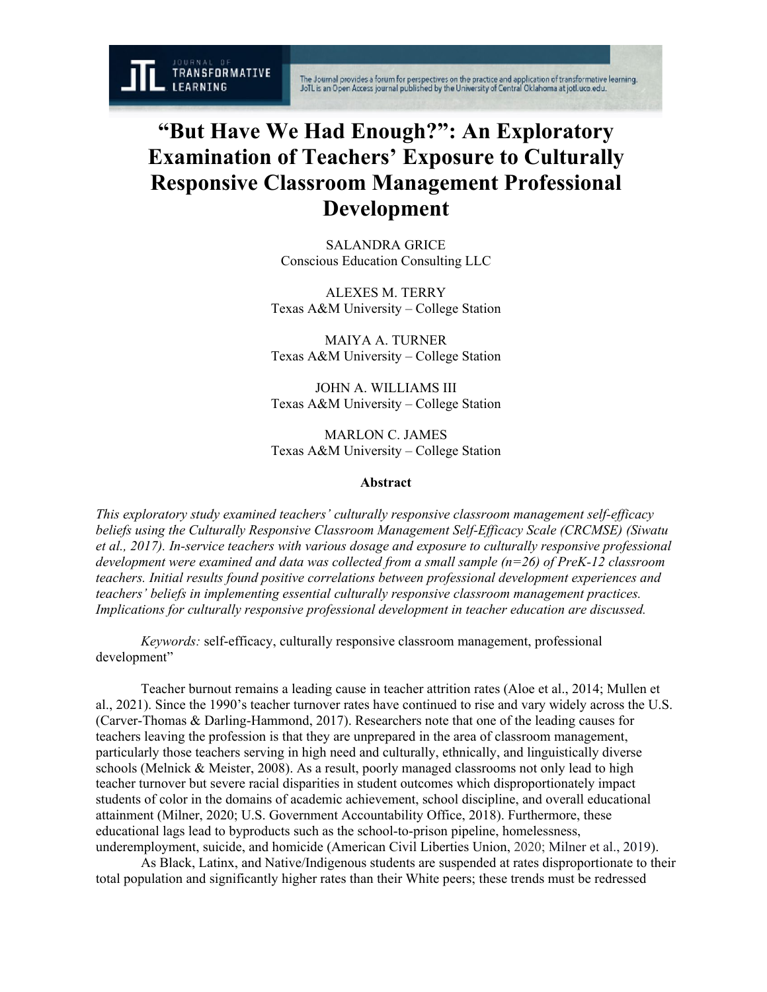The Journal provides a forum for perspectives on the practice and application of transformative learning.<br>JoTL is an Open Access journal published by the University of Central Oklahoma at jotl.uco.edu.

# **"But Have We Had Enough?": An Exploratory Examination of Teachers' Exposure to Culturally Responsive Classroom Management Professional Development**

SALANDRA GRICE Conscious Education Consulting LLC

ALEXES M. TERRY Texas A&M University – College Station

MAIYA A. TURNER Texas A&M University – College Station

JOHN A. WILLIAMS III Texas A&M University – College Station

MARLON C. JAMES Texas A&M University – College Station

# **Abstract**

*This exploratory study examined teachers' culturally responsive classroom management self-efficacy beliefs using the Culturally Responsive Classroom Management Self-Efficacy Scale (CRCMSE) (Siwatu et al., 2017). In-service teachers with various dosage and exposure to culturally responsive professional development were examined and data was collected from a small sample (n=26) of PreK-12 classroom teachers. Initial results found positive correlations between professional development experiences and teachers' beliefs in implementing essential culturally responsive classroom management practices. Implications for culturally responsive professional development in teacher education are discussed.*

*Keywords:* self-efficacy, culturally responsive classroom management, professional development"

Teacher burnout remains a leading cause in teacher attrition rates (Aloe et al., 2014; Mullen et al., 2021). Since the 1990's teacher turnover rates have continued to rise and vary widely across the U.S. (Carver-Thomas & Darling-Hammond, 2017). Researchers note that one of the leading causes for teachers leaving the profession is that they are unprepared in the area of classroom management, particularly those teachers serving in high need and culturally, ethnically, and linguistically diverse schools (Melnick & Meister, 2008). As a result, poorly managed classrooms not only lead to high teacher turnover but severe racial disparities in student outcomes which disproportionately impact students of color in the domains of academic achievement, school discipline, and overall educational attainment (Milner, 2020; U.S. Government Accountability Office, 2018). Furthermore, these educational lags lead to byproducts such as the school-to-prison pipeline, homelessness, underemployment, suicide, and homicide (American Civil Liberties Union, 2020; Milner et al., 2019).

As Black, Latinx, and Native/Indigenous students are suspended at rates disproportionate to their total population and significantly higher rates than their White peers; these trends must be redressed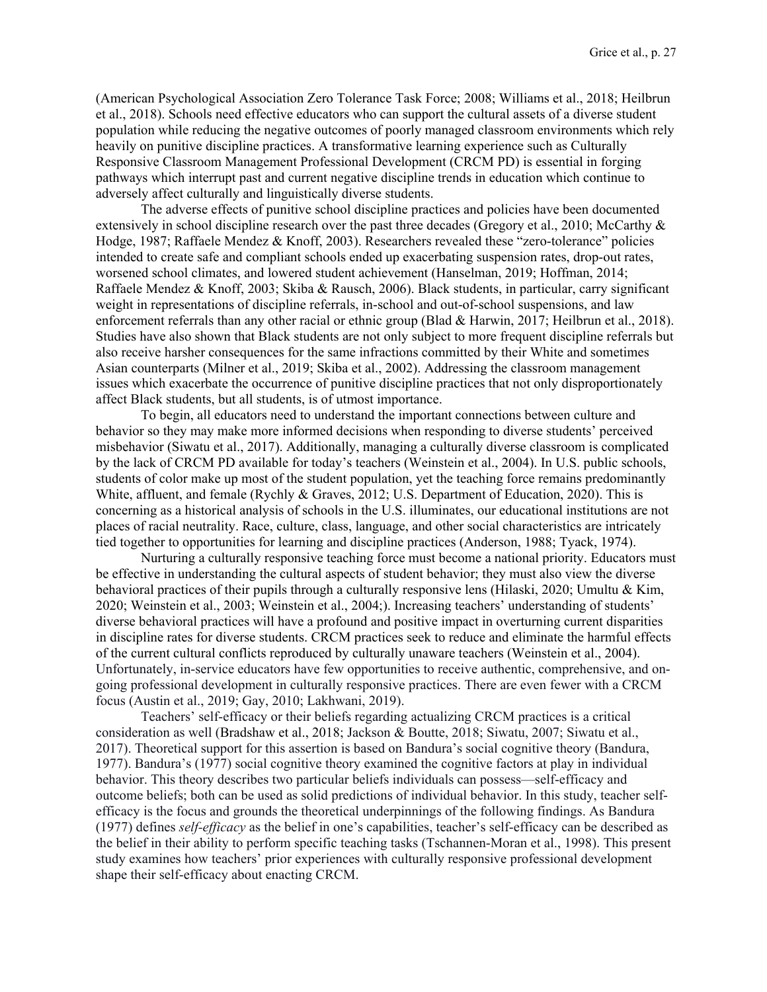(American Psychological Association Zero Tolerance Task Force; 2008; Williams et al., 2018; Heilbrun et al., 2018). Schools need effective educators who can support the cultural assets of a diverse student population while reducing the negative outcomes of poorly managed classroom environments which rely heavily on punitive discipline practices. A transformative learning experience such as Culturally Responsive Classroom Management Professional Development (CRCM PD) is essential in forging pathways which interrupt past and current negative discipline trends in education which continue to adversely affect culturally and linguistically diverse students.

The adverse effects of punitive school discipline practices and policies have been documented extensively in school discipline research over the past three decades (Gregory et al., 2010; McCarthy & Hodge, 1987; Raffaele Mendez & Knoff, 2003). Researchers revealed these "zero-tolerance" policies intended to create safe and compliant schools ended up exacerbating suspension rates, drop-out rates, worsened school climates, and lowered student achievement (Hanselman, 2019; Hoffman, 2014; Raffaele Mendez & Knoff, 2003; Skiba & Rausch, 2006). Black students, in particular, carry significant weight in representations of discipline referrals, in-school and out-of-school suspensions, and law enforcement referrals than any other racial or ethnic group (Blad & Harwin, 2017; Heilbrun et al., 2018). Studies have also shown that Black students are not only subject to more frequent discipline referrals but also receive harsher consequences for the same infractions committed by their White and sometimes Asian counterparts (Milner et al., 2019; Skiba et al., 2002). Addressing the classroom management issues which exacerbate the occurrence of punitive discipline practices that not only disproportionately affect Black students, but all students, is of utmost importance.

To begin, all educators need to understand the important connections between culture and behavior so they may make more informed decisions when responding to diverse students' perceived misbehavior (Siwatu et al., 2017). Additionally, managing a culturally diverse classroom is complicated by the lack of CRCM PD available for today's teachers (Weinstein et al., 2004). In U.S. public schools, students of color make up most of the student population, yet the teaching force remains predominantly White, affluent, and female (Rychly & Graves, 2012; U.S. Department of Education, 2020). This is concerning as a historical analysis of schools in the U.S. illuminates, our educational institutions are not places of racial neutrality. Race, culture, class, language, and other social characteristics are intricately tied together to opportunities for learning and discipline practices (Anderson, 1988; Tyack, 1974).

Nurturing a culturally responsive teaching force must become a national priority. Educators must be effective in understanding the cultural aspects of student behavior; they must also view the diverse behavioral practices of their pupils through a culturally responsive lens (Hilaski, 2020; Umultu & Kim, 2020; Weinstein et al., 2003; Weinstein et al., 2004;). Increasing teachers' understanding of students' diverse behavioral practices will have a profound and positive impact in overturning current disparities in discipline rates for diverse students. CRCM practices seek to reduce and eliminate the harmful effects of the current cultural conflicts reproduced by culturally unaware teachers (Weinstein et al., 2004). Unfortunately, in-service educators have few opportunities to receive authentic, comprehensive, and ongoing professional development in culturally responsive practices. There are even fewer with a CRCM focus (Austin et al., 2019; Gay, 2010; Lakhwani, 2019).

Teachers' self-efficacy or their beliefs regarding actualizing CRCM practices is a critical consideration as well (Bradshaw et al., 2018; Jackson & Boutte, 2018; Siwatu, 2007; Siwatu et al., 2017). Theoretical support for this assertion is based on Bandura's social cognitive theory (Bandura, 1977). Bandura's (1977) social cognitive theory examined the cognitive factors at play in individual behavior. This theory describes two particular beliefs individuals can possess—self-efficacy and outcome beliefs; both can be used as solid predictions of individual behavior. In this study, teacher selfefficacy is the focus and grounds the theoretical underpinnings of the following findings. As Bandura (1977) defines *self-efficacy* as the belief in one's capabilities, teacher's self-efficacy can be described as the belief in their ability to perform specific teaching tasks (Tschannen-Moran et al., 1998). This present study examines how teachers' prior experiences with culturally responsive professional development shape their self-efficacy about enacting CRCM.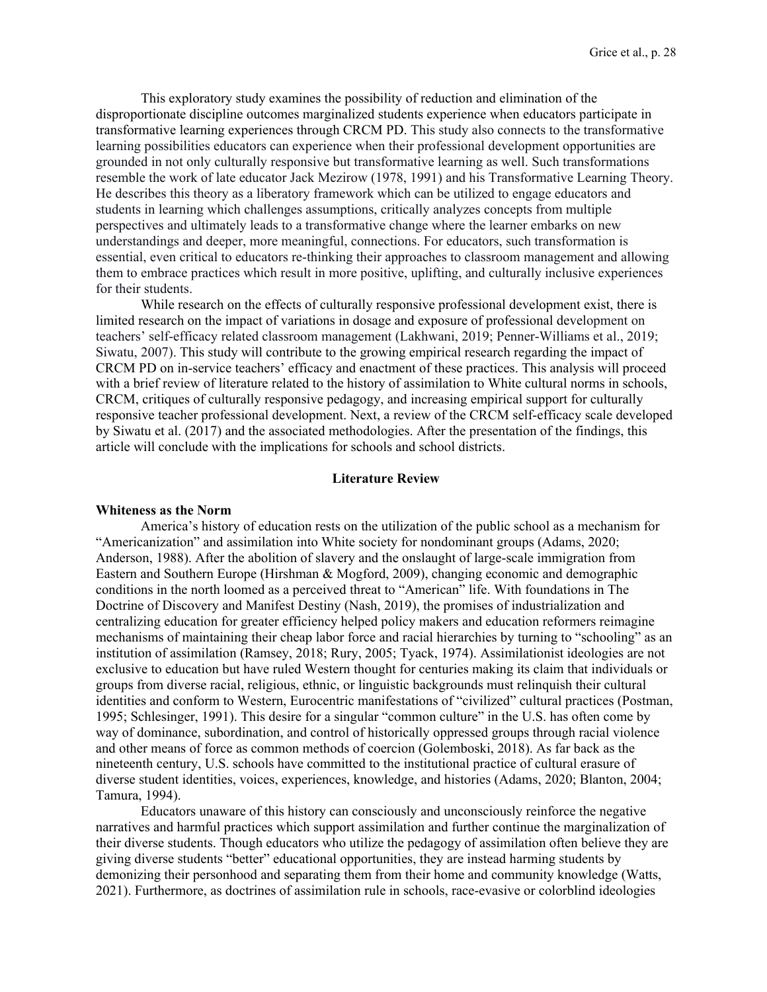This exploratory study examines the possibility of reduction and elimination of the disproportionate discipline outcomes marginalized students experience when educators participate in transformative learning experiences through CRCM PD. This study also connects to the transformative learning possibilities educators can experience when their professional development opportunities are grounded in not only culturally responsive but transformative learning as well. Such transformations resemble the work of late educator Jack Mezirow (1978, 1991) and his Transformative Learning Theory. He describes this theory as a liberatory framework which can be utilized to engage educators and students in learning which challenges assumptions, critically analyzes concepts from multiple perspectives and ultimately leads to a transformative change where the learner embarks on new understandings and deeper, more meaningful, connections. For educators, such transformation is essential, even critical to educators re-thinking their approaches to classroom management and allowing them to embrace practices which result in more positive, uplifting, and culturally inclusive experiences for their students.

While research on the effects of culturally responsive professional development exist, there is limited research on the impact of variations in dosage and exposure of professional development on teachers' self-efficacy related classroom management (Lakhwani, 2019; Penner-Williams et al., 2019; Siwatu, 2007). This study will contribute to the growing empirical research regarding the impact of CRCM PD on in-service teachers' efficacy and enactment of these practices. This analysis will proceed with a brief review of literature related to the history of assimilation to White cultural norms in schools, CRCM, critiques of culturally responsive pedagogy, and increasing empirical support for culturally responsive teacher professional development. Next, a review of the CRCM self-efficacy scale developed by Siwatu et al. (2017) and the associated methodologies. After the presentation of the findings, this article will conclude with the implications for schools and school districts.

#### **Literature Review**

# **Whiteness as the Norm**

America's history of education rests on the utilization of the public school as a mechanism for "Americanization" and assimilation into White society for nondominant groups (Adams, 2020; Anderson, 1988). After the abolition of slavery and the onslaught of large-scale immigration from Eastern and Southern Europe (Hirshman & Mogford, 2009), changing economic and demographic conditions in the north loomed as a perceived threat to "American" life. With foundations in The Doctrine of Discovery and Manifest Destiny (Nash, 2019), the promises of industrialization and centralizing education for greater efficiency helped policy makers and education reformers reimagine mechanisms of maintaining their cheap labor force and racial hierarchies by turning to "schooling" as an institution of assimilation (Ramsey, 2018; Rury, 2005; Tyack, 1974). Assimilationist ideologies are not exclusive to education but have ruled Western thought for centuries making its claim that individuals or groups from diverse racial, religious, ethnic, or linguistic backgrounds must relinquish their cultural identities and conform to Western, Eurocentric manifestations of "civilized" cultural practices (Postman, 1995; Schlesinger, 1991). This desire for a singular "common culture" in the U.S. has often come by way of dominance, subordination, and control of historically oppressed groups through racial violence and other means of force as common methods of coercion (Golemboski, 2018). As far back as the nineteenth century, U.S. schools have committed to the institutional practice of cultural erasure of diverse student identities, voices, experiences, knowledge, and histories (Adams, 2020; Blanton, 2004; Tamura, 1994).

Educators unaware of this history can consciously and unconsciously reinforce the negative narratives and harmful practices which support assimilation and further continue the marginalization of their diverse students. Though educators who utilize the pedagogy of assimilation often believe they are giving diverse students "better" educational opportunities, they are instead harming students by demonizing their personhood and separating them from their home and community knowledge (Watts, 2021). Furthermore, as doctrines of assimilation rule in schools, race-evasive or colorblind ideologies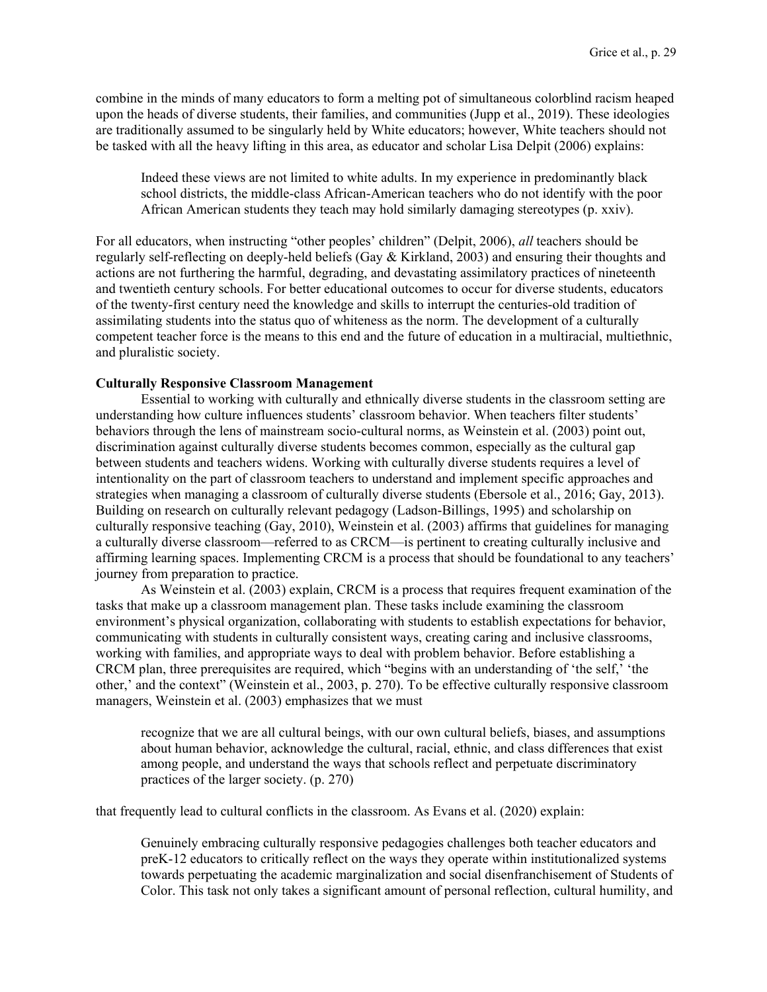combine in the minds of many educators to form a melting pot of simultaneous colorblind racism heaped upon the heads of diverse students, their families, and communities (Jupp et al., 2019). These ideologies are traditionally assumed to be singularly held by White educators; however, White teachers should not be tasked with all the heavy lifting in this area, as educator and scholar Lisa Delpit (2006) explains:

Indeed these views are not limited to white adults. In my experience in predominantly black school districts, the middle-class African-American teachers who do not identify with the poor African American students they teach may hold similarly damaging stereotypes (p. xxiv).

For all educators, when instructing "other peoples' children" (Delpit, 2006), *all* teachers should be regularly self-reflecting on deeply-held beliefs (Gay & Kirkland, 2003) and ensuring their thoughts and actions are not furthering the harmful, degrading, and devastating assimilatory practices of nineteenth and twentieth century schools. For better educational outcomes to occur for diverse students, educators of the twenty-first century need the knowledge and skills to interrupt the centuries-old tradition of assimilating students into the status quo of whiteness as the norm. The development of a culturally competent teacher force is the means to this end and the future of education in a multiracial, multiethnic, and pluralistic society.

## **Culturally Responsive Classroom Management**

Essential to working with culturally and ethnically diverse students in the classroom setting are understanding how culture influences students' classroom behavior. When teachers filter students' behaviors through the lens of mainstream socio-cultural norms, as Weinstein et al. (2003) point out, discrimination against culturally diverse students becomes common, especially as the cultural gap between students and teachers widens. Working with culturally diverse students requires a level of intentionality on the part of classroom teachers to understand and implement specific approaches and strategies when managing a classroom of culturally diverse students (Ebersole et al., 2016; Gay, 2013). Building on research on culturally relevant pedagogy (Ladson‐Billings, 1995) and scholarship on culturally responsive teaching (Gay, 2010), Weinstein et al. (2003) affirms that guidelines for managing a culturally diverse classroom—referred to as CRCM—is pertinent to creating culturally inclusive and affirming learning spaces. Implementing CRCM is a process that should be foundational to any teachers' journey from preparation to practice.

As Weinstein et al. (2003) explain, CRCM is a process that requires frequent examination of the tasks that make up a classroom management plan. These tasks include examining the classroom environment's physical organization, collaborating with students to establish expectations for behavior, communicating with students in culturally consistent ways, creating caring and inclusive classrooms, working with families, and appropriate ways to deal with problem behavior. Before establishing a CRCM plan, three prerequisites are required, which "begins with an understanding of 'the self,' 'the other,' and the context" (Weinstein et al., 2003, p. 270). To be effective culturally responsive classroom managers, Weinstein et al. (2003) emphasizes that we must

recognize that we are all cultural beings, with our own cultural beliefs, biases, and assumptions about human behavior, acknowledge the cultural, racial, ethnic, and class differences that exist among people, and understand the ways that schools reflect and perpetuate discriminatory practices of the larger society. (p. 270)

that frequently lead to cultural conflicts in the classroom. As Evans et al. (2020) explain:

Genuinely embracing culturally responsive pedagogies challenges both teacher educators and preK-12 educators to critically reflect on the ways they operate within institutionalized systems towards perpetuating the academic marginalization and social disenfranchisement of Students of Color. This task not only takes a significant amount of personal reflection, cultural humility, and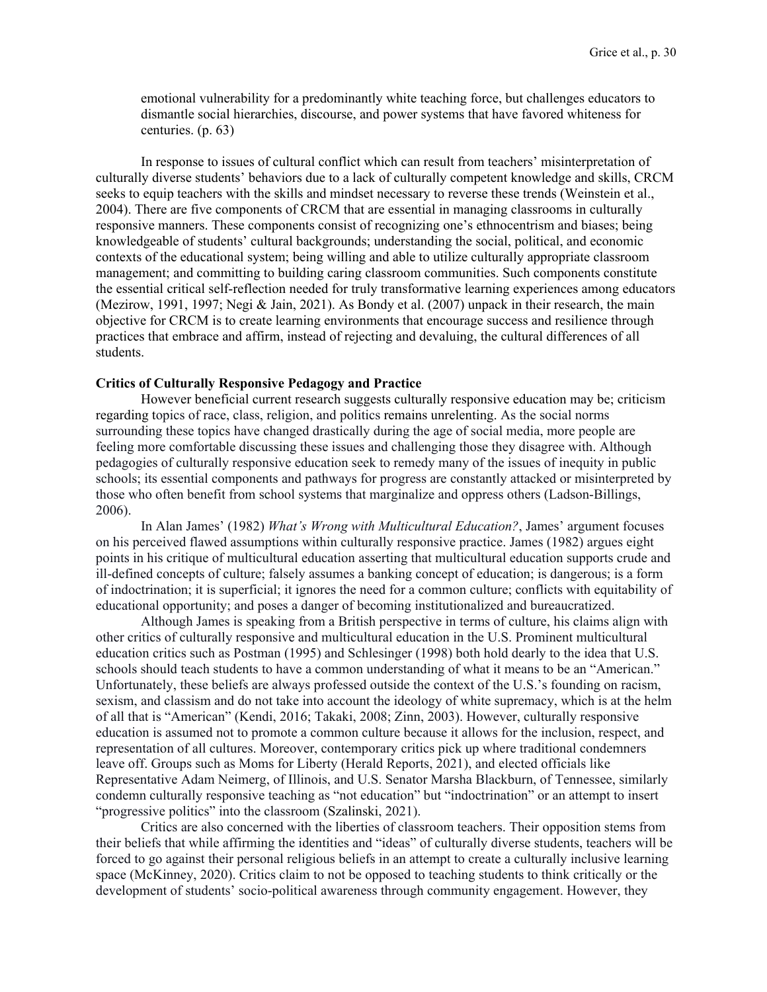emotional vulnerability for a predominantly white teaching force, but challenges educators to dismantle social hierarchies, discourse, and power systems that have favored whiteness for centuries. (p. 63)

In response to issues of cultural conflict which can result from teachers' misinterpretation of culturally diverse students' behaviors due to a lack of culturally competent knowledge and skills, CRCM seeks to equip teachers with the skills and mindset necessary to reverse these trends (Weinstein et al., 2004). There are five components of CRCM that are essential in managing classrooms in culturally responsive manners. These components consist of recognizing one's ethnocentrism and biases; being knowledgeable of students' cultural backgrounds; understanding the social, political, and economic contexts of the educational system; being willing and able to utilize culturally appropriate classroom management; and committing to building caring classroom communities. Such components constitute the essential critical self-reflection needed for truly transformative learning experiences among educators (Mezirow, 1991, 1997; Negi & Jain, 2021). As Bondy et al. (2007) unpack in their research, the main objective for CRCM is to create learning environments that encourage success and resilience through practices that embrace and affirm, instead of rejecting and devaluing, the cultural differences of all students.

#### **Critics of Culturally Responsive Pedagogy and Practice**

However beneficial current research suggests culturally responsive education may be; criticism regarding topics of race, class, religion, and politics remains unrelenting. As the social norms surrounding these topics have changed drastically during the age of social media, more people are feeling more comfortable discussing these issues and challenging those they disagree with. Although pedagogies of culturally responsive education seek to remedy many of the issues of inequity in public schools; its essential components and pathways for progress are constantly attacked or misinterpreted by those who often benefit from school systems that marginalize and oppress others (Ladson-Billings, 2006).

In Alan James' (1982) *What's Wrong with Multicultural Education?*, James' argument focuses on his perceived flawed assumptions within culturally responsive practice. James (1982) argues eight points in his critique of multicultural education asserting that multicultural education supports crude and ill-defined concepts of culture; falsely assumes a banking concept of education; is dangerous; is a form of indoctrination; it is superficial; it ignores the need for a common culture; conflicts with equitability of educational opportunity; and poses a danger of becoming institutionalized and bureaucratized.

Although James is speaking from a British perspective in terms of culture, his claims align with other critics of culturally responsive and multicultural education in the U.S. Prominent multicultural education critics such as Postman (1995) and Schlesinger (1998) both hold dearly to the idea that U.S. schools should teach students to have a common understanding of what it means to be an "American." Unfortunately, these beliefs are always professed outside the context of the U.S.'s founding on racism, sexism, and classism and do not take into account the ideology of white supremacy, which is at the helm of all that is "American" (Kendi, 2016; Takaki, 2008; Zinn, 2003). However, culturally responsive education is assumed not to promote a common culture because it allows for the inclusion, respect, and representation of all cultures. Moreover, contemporary critics pick up where traditional condemners leave off. Groups such as Moms for Liberty (Herald Reports, 2021), and elected officials like Representative Adam Neimerg, of Illinois, and U.S. Senator Marsha Blackburn, of Tennessee, similarly condemn culturally responsive teaching as "not education" but "indoctrination" or an attempt to insert "progressive politics" into the classroom (Szalinski, 2021).

Critics are also concerned with the liberties of classroom teachers. Their opposition stems from their beliefs that while affirming the identities and "ideas" of culturally diverse students, teachers will be forced to go against their personal religious beliefs in an attempt to create a culturally inclusive learning space (McKinney, 2020). Critics claim to not be opposed to teaching students to think critically or the development of students' socio-political awareness through community engagement. However, they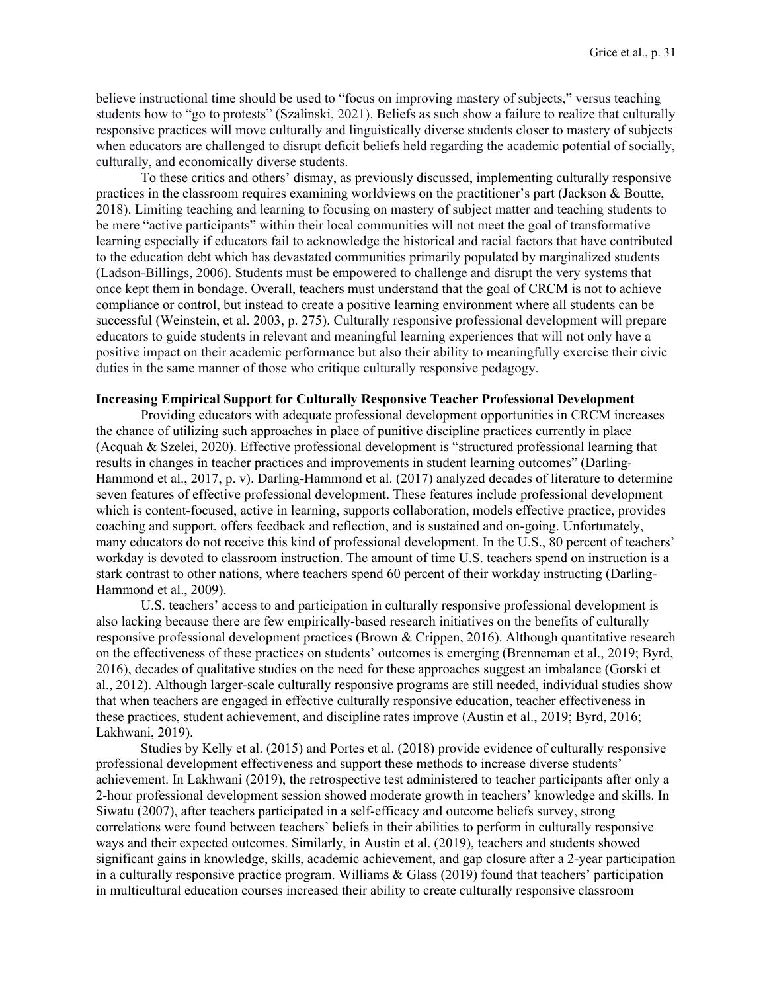believe instructional time should be used to "focus on improving mastery of subjects," versus teaching students how to "go to protests" (Szalinski, 2021). Beliefs as such show a failure to realize that culturally responsive practices will move culturally and linguistically diverse students closer to mastery of subjects when educators are challenged to disrupt deficit beliefs held regarding the academic potential of socially, culturally, and economically diverse students.

To these critics and others' dismay, as previously discussed, implementing culturally responsive practices in the classroom requires examining worldviews on the practitioner's part (Jackson & Boutte, 2018). Limiting teaching and learning to focusing on mastery of subject matter and teaching students to be mere "active participants" within their local communities will not meet the goal of transformative learning especially if educators fail to acknowledge the historical and racial factors that have contributed to the education debt which has devastated communities primarily populated by marginalized students (Ladson-Billings, 2006). Students must be empowered to challenge and disrupt the very systems that once kept them in bondage. Overall, teachers must understand that the goal of CRCM is not to achieve compliance or control, but instead to create a positive learning environment where all students can be successful (Weinstein, et al. 2003, p. 275). Culturally responsive professional development will prepare educators to guide students in relevant and meaningful learning experiences that will not only have a positive impact on their academic performance but also their ability to meaningfully exercise their civic duties in the same manner of those who critique culturally responsive pedagogy.

#### **Increasing Empirical Support for Culturally Responsive Teacher Professional Development**

Providing educators with adequate professional development opportunities in CRCM increases the chance of utilizing such approaches in place of punitive discipline practices currently in place (Acquah & Szelei, 2020). Effective professional development is "structured professional learning that results in changes in teacher practices and improvements in student learning outcomes" (Darling-Hammond et al., 2017, p. v). Darling-Hammond et al. (2017) analyzed decades of literature to determine seven features of effective professional development. These features include professional development which is content-focused, active in learning, supports collaboration, models effective practice, provides coaching and support, offers feedback and reflection, and is sustained and on-going. Unfortunately, many educators do not receive this kind of professional development. In the U.S., 80 percent of teachers' workday is devoted to classroom instruction. The amount of time U.S. teachers spend on instruction is a stark contrast to other nations, where teachers spend 60 percent of their workday instructing (Darling-Hammond et al., 2009).

U.S. teachers' access to and participation in culturally responsive professional development is also lacking because there are few empirically-based research initiatives on the benefits of culturally responsive professional development practices (Brown & Crippen, 2016). Although quantitative research on the effectiveness of these practices on students' outcomes is emerging (Brenneman et al., 2019; Byrd, 2016), decades of qualitative studies on the need for these approaches suggest an imbalance (Gorski et al., 2012). Although larger-scale culturally responsive programs are still needed, individual studies show that when teachers are engaged in effective culturally responsive education, teacher effectiveness in these practices, student achievement, and discipline rates improve (Austin et al., 2019; Byrd, 2016; Lakhwani, 2019).

Studies by Kelly et al. (2015) and Portes et al. (2018) provide evidence of culturally responsive professional development effectiveness and support these methods to increase diverse students' achievement. In Lakhwani (2019), the retrospective test administered to teacher participants after only a 2-hour professional development session showed moderate growth in teachers' knowledge and skills. In Siwatu (2007), after teachers participated in a self-efficacy and outcome beliefs survey, strong correlations were found between teachers' beliefs in their abilities to perform in culturally responsive ways and their expected outcomes. Similarly, in Austin et al. (2019), teachers and students showed significant gains in knowledge, skills, academic achievement, and gap closure after a 2-year participation in a culturally responsive practice program. Williams & Glass (2019) found that teachers' participation in multicultural education courses increased their ability to create culturally responsive classroom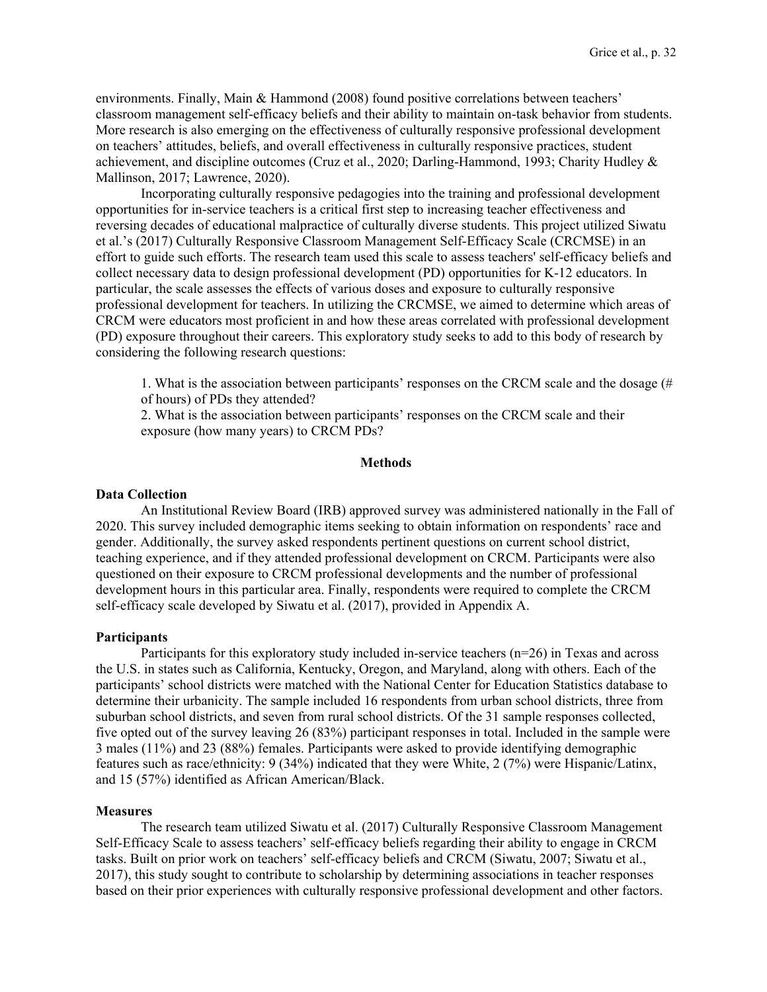environments. Finally, Main & Hammond (2008) found positive correlations between teachers' classroom management self-efficacy beliefs and their ability to maintain on-task behavior from students. More research is also emerging on the effectiveness of culturally responsive professional development on teachers' attitudes, beliefs, and overall effectiveness in culturally responsive practices, student achievement, and discipline outcomes (Cruz et al., 2020; Darling-Hammond, 1993; Charity Hudley & Mallinson, 2017; Lawrence, 2020).

Incorporating culturally responsive pedagogies into the training and professional development opportunities for in-service teachers is a critical first step to increasing teacher effectiveness and reversing decades of educational malpractice of culturally diverse students. This project utilized Siwatu et al.'s (2017) Culturally Responsive Classroom Management Self-Efficacy Scale (CRCMSE) in an effort to guide such efforts. The research team used this scale to assess teachers' self-efficacy beliefs and collect necessary data to design professional development (PD) opportunities for K-12 educators. In particular, the scale assesses the effects of various doses and exposure to culturally responsive professional development for teachers. In utilizing the CRCMSE, we aimed to determine which areas of CRCM were educators most proficient in and how these areas correlated with professional development (PD) exposure throughout their careers. This exploratory study seeks to add to this body of research by considering the following research questions:

1. What is the association between participants' responses on the CRCM scale and the dosage (# of hours) of PDs they attended?

2. What is the association between participants' responses on the CRCM scale and their exposure (how many years) to CRCM PDs?

# **Methods**

#### **Data Collection**

An Institutional Review Board (IRB) approved survey was administered nationally in the Fall of 2020. This survey included demographic items seeking to obtain information on respondents' race and gender. Additionally, the survey asked respondents pertinent questions on current school district, teaching experience, and if they attended professional development on CRCM. Participants were also questioned on their exposure to CRCM professional developments and the number of professional development hours in this particular area. Finally, respondents were required to complete the CRCM self-efficacy scale developed by Siwatu et al. (2017), provided in Appendix A.

#### **Participants**

Participants for this exploratory study included in-service teachers (n=26) in Texas and across the U.S. in states such as California, Kentucky, Oregon, and Maryland, along with others. Each of the participants' school districts were matched with the National Center for Education Statistics database to determine their urbanicity. The sample included 16 respondents from urban school districts, three from suburban school districts, and seven from rural school districts. Of the 31 sample responses collected, five opted out of the survey leaving 26 (83%) participant responses in total. Included in the sample were 3 males (11%) and 23 (88%) females. Participants were asked to provide identifying demographic features such as race/ethnicity: 9 (34%) indicated that they were White, 2 (7%) were Hispanic/Latinx, and 15 (57%) identified as African American/Black.

#### **Measures**

The research team utilized Siwatu et al. (2017) Culturally Responsive Classroom Management Self-Efficacy Scale to assess teachers' self-efficacy beliefs regarding their ability to engage in CRCM tasks. Built on prior work on teachers' self-efficacy beliefs and CRCM (Siwatu, 2007; Siwatu et al., 2017), this study sought to contribute to scholarship by determining associations in teacher responses based on their prior experiences with culturally responsive professional development and other factors.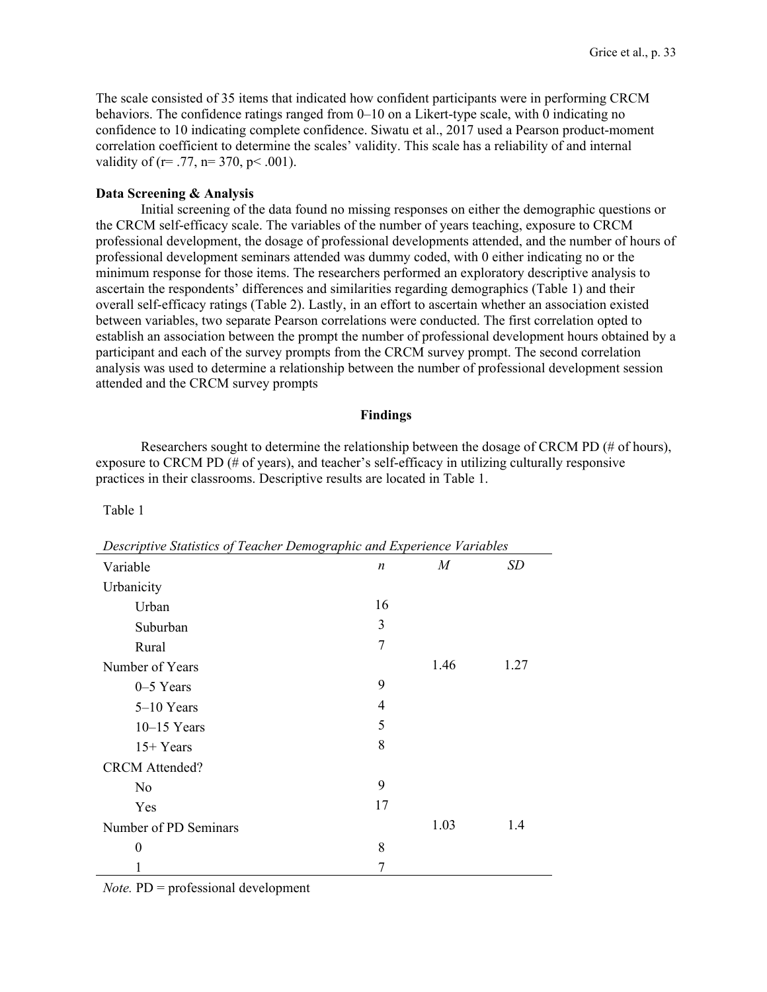The scale consisted of 35 items that indicated how confident participants were in performing CRCM behaviors. The confidence ratings ranged from 0–10 on a Likert-type scale, with 0 indicating no confidence to 10 indicating complete confidence. Siwatu et al., 2017 used a Pearson product-moment correlation coefficient to determine the scales' validity. This scale has a reliability of and internal validity of (r= .77, n= 370, p < .001).

# **Data Screening & Analysis**

Initial screening of the data found no missing responses on either the demographic questions or the CRCM self-efficacy scale. The variables of the number of years teaching, exposure to CRCM professional development, the dosage of professional developments attended, and the number of hours of professional development seminars attended was dummy coded, with 0 either indicating no or the minimum response for those items. The researchers performed an exploratory descriptive analysis to ascertain the respondents' differences and similarities regarding demographics (Table 1) and their overall self-efficacy ratings (Table 2). Lastly, in an effort to ascertain whether an association existed between variables, two separate Pearson correlations were conducted. The first correlation opted to establish an association between the prompt the number of professional development hours obtained by a participant and each of the survey prompts from the CRCM survey prompt. The second correlation analysis was used to determine a relationship between the number of professional development session attended and the CRCM survey prompts

#### **Findings**

Researchers sought to determine the relationship between the dosage of CRCM PD (# of hours), exposure to CRCM PD (# of years), and teacher's self-efficacy in utilizing culturally responsive practices in their classrooms. Descriptive results are located in Table 1.

Table 1

| Descriptive Statistics of Teacher Demographic and Experience Variables |                  |      |      |  |
|------------------------------------------------------------------------|------------------|------|------|--|
| Variable                                                               | $\boldsymbol{n}$ | M    | SD   |  |
| Urbanicity                                                             |                  |      |      |  |
| Urban                                                                  | 16               |      |      |  |
| Suburban                                                               | 3                |      |      |  |
| Rural                                                                  | 7                |      |      |  |
| Number of Years                                                        |                  | 1.46 | 1.27 |  |
| $0-5$ Years                                                            | 9                |      |      |  |
| $5-10$ Years                                                           | 4                |      |      |  |
| $10-15$ Years                                                          | 5                |      |      |  |
| $15+Years$                                                             | 8                |      |      |  |
| <b>CRCM</b> Attended?                                                  |                  |      |      |  |
| N <sub>0</sub>                                                         | 9                |      |      |  |
| <b>Yes</b>                                                             | 17               |      |      |  |
| Number of PD Seminars                                                  |                  | 1.03 | 1.4  |  |
| $\theta$                                                               | 8                |      |      |  |
|                                                                        | 7                |      |      |  |

*Note.* PD = professional development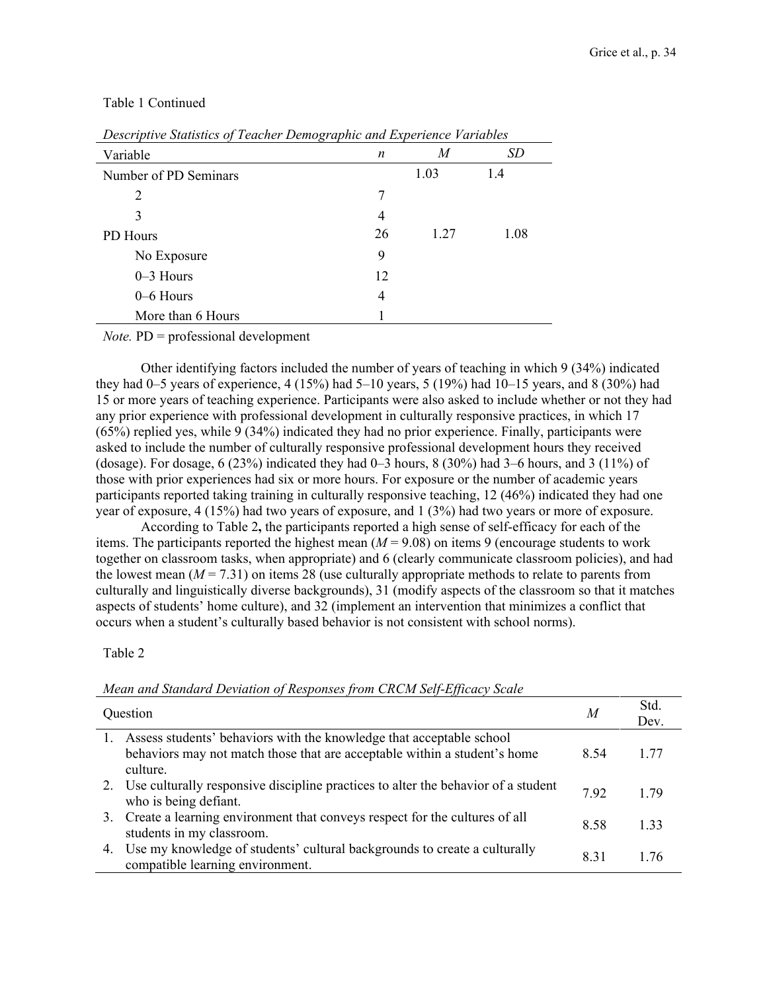| Descriptive Statistics of Teacher Demographic and Experience Variables |    |      |           |  |
|------------------------------------------------------------------------|----|------|-----------|--|
| Variable                                                               | n  | M    | <i>SD</i> |  |
| Number of PD Seminars                                                  |    | 1.03 | 1.4       |  |
| $\overline{2}$                                                         | 7  |      |           |  |
| 3                                                                      | 4  |      |           |  |
| PD Hours                                                               | 26 | 1.27 | 1.08      |  |
| No Exposure                                                            | 9  |      |           |  |
| $0-3$ Hours                                                            | 12 |      |           |  |
| $0-6$ Hours                                                            | 4  |      |           |  |
| More than 6 Hours                                                      |    |      |           |  |

# Table 1 Continued

*Note.* PD = professional development

Other identifying factors included the number of years of teaching in which 9 (34%) indicated they had 0–5 years of experience, 4 (15%) had 5–10 years, 5 (19%) had 10–15 years, and 8 (30%) had 15 or more years of teaching experience. Participants were also asked to include whether or not they had any prior experience with professional development in culturally responsive practices, in which 17 (65%) replied yes, while 9 (34%) indicated they had no prior experience. Finally, participants were asked to include the number of culturally responsive professional development hours they received (dosage). For dosage, 6 (23%) indicated they had 0–3 hours, 8 (30%) had 3–6 hours, and 3 (11%) of those with prior experiences had six or more hours. For exposure or the number of academic years participants reported taking training in culturally responsive teaching, 12 (46%) indicated they had one year of exposure, 4 (15%) had two years of exposure, and 1 (3%) had two years or more of exposure.

According to Table 2**,** the participants reported a high sense of self-efficacy for each of the items. The participants reported the highest mean  $(M = 9.08)$  on items 9 (encourage students to work together on classroom tasks, when appropriate) and 6 (clearly communicate classroom policies), and had the lowest mean  $(M = 7.31)$  on items 28 (use culturally appropriate methods to relate to parents from culturally and linguistically diverse backgrounds), 31 (modify aspects of the classroom so that it matches aspects of students' home culture), and 32 (implement an intervention that minimizes a conflict that occurs when a student's culturally based behavior is not consistent with school norms).

Table 2

# *Mean and Standard Deviation of Responses from CRCM Self-Efficacy Scale*

| Question                                                                                                                                                         | M    | Std.<br>Dev. |
|------------------------------------------------------------------------------------------------------------------------------------------------------------------|------|--------------|
| 1. Assess students' behaviors with the knowledge that acceptable school<br>behaviors may not match those that are acceptable within a student's home<br>culture. | 8.54 | 1.77         |
| 2. Use culturally responsive discipline practices to alter the behavior of a student<br>who is being defiant.                                                    | 7.92 | 1.79         |
| 3. Create a learning environment that conveys respect for the cultures of all<br>students in my classroom.                                                       | 8.58 | 1.33         |
| Use my knowledge of students' cultural backgrounds to create a culturally<br>compatible learning environment.                                                    | 8.31 | 1.76         |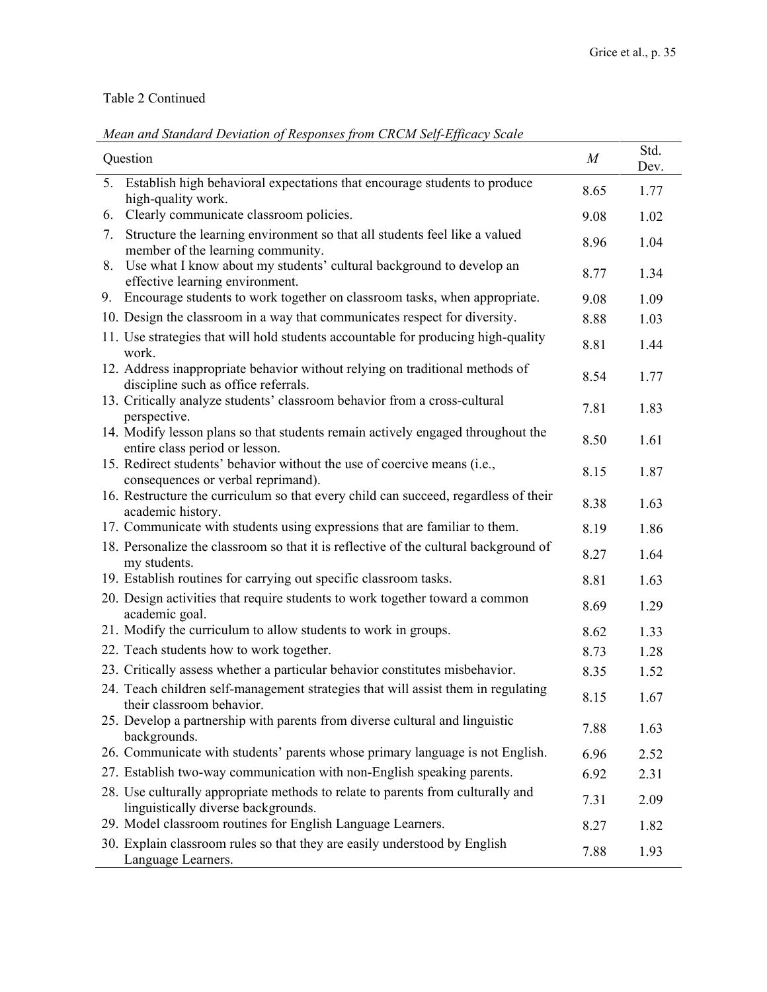# Table 2 Continued

| Question                                                                                                               | $\boldsymbol{M}$ | Std.<br>Dev. |
|------------------------------------------------------------------------------------------------------------------------|------------------|--------------|
| Establish high behavioral expectations that encourage students to produce<br>5.<br>high-quality work.                  | 8.65             | 1.77         |
| Clearly communicate classroom policies.<br>6.                                                                          | 9.08             | 1.02         |
| Structure the learning environment so that all students feel like a valued<br>7.<br>member of the learning community.  | 8.96             | 1.04         |
| 8. Use what I know about my students' cultural background to develop an<br>effective learning environment.             | 8.77             | 1.34         |
| Encourage students to work together on classroom tasks, when appropriate.<br>9.                                        | 9.08             | 1.09         |
| 10. Design the classroom in a way that communicates respect for diversity.                                             | 8.88             | 1.03         |
| 11. Use strategies that will hold students accountable for producing high-quality<br>work.                             | 8.81             | 1.44         |
| 12. Address inappropriate behavior without relying on traditional methods of<br>discipline such as office referrals.   | 8.54             | 1.77         |
| 13. Critically analyze students' classroom behavior from a cross-cultural<br>perspective.                              | 7.81             | 1.83         |
| 14. Modify lesson plans so that students remain actively engaged throughout the<br>entire class period or lesson.      | 8.50             | 1.61         |
| 15. Redirect students' behavior without the use of coercive means (i.e.,<br>consequences or verbal reprimand).         | 8.15             | 1.87         |
| 16. Restructure the curriculum so that every child can succeed, regardless of their<br>academic history.               | 8.38             | 1.63         |
| 17. Communicate with students using expressions that are familiar to them.                                             | 8.19             | 1.86         |
| 18. Personalize the classroom so that it is reflective of the cultural background of<br>my students.                   | 8.27             | 1.64         |
| 19. Establish routines for carrying out specific classroom tasks.                                                      | 8.81             | 1.63         |
| 20. Design activities that require students to work together toward a common<br>academic goal.                         | 8.69             | 1.29         |
| 21. Modify the curriculum to allow students to work in groups.                                                         | 8.62             | 1.33         |
| 22. Teach students how to work together.                                                                               | 8.73             | 1.28         |
| 23. Critically assess whether a particular behavior constitutes misbehavior.                                           | 8.35             | 1.52         |
| 24. Teach children self-management strategies that will assist them in regulating<br>their classroom behavior.         | 8.15             | 1.67         |
| 25. Develop a partnership with parents from diverse cultural and linguistic<br>backgrounds.                            | 7.88             | 1.63         |
| 26. Communicate with students' parents whose primary language is not English.                                          | 6.96             | 2.52         |
| 27. Establish two-way communication with non-English speaking parents.                                                 | 6.92             | 2.31         |
| 28. Use culturally appropriate methods to relate to parents from culturally and<br>linguistically diverse backgrounds. | 7.31             | 2.09         |
| 29. Model classroom routines for English Language Learners.                                                            | 8.27             | 1.82         |
| 30. Explain classroom rules so that they are easily understood by English<br>Language Learners.                        | 7.88             | 1.93         |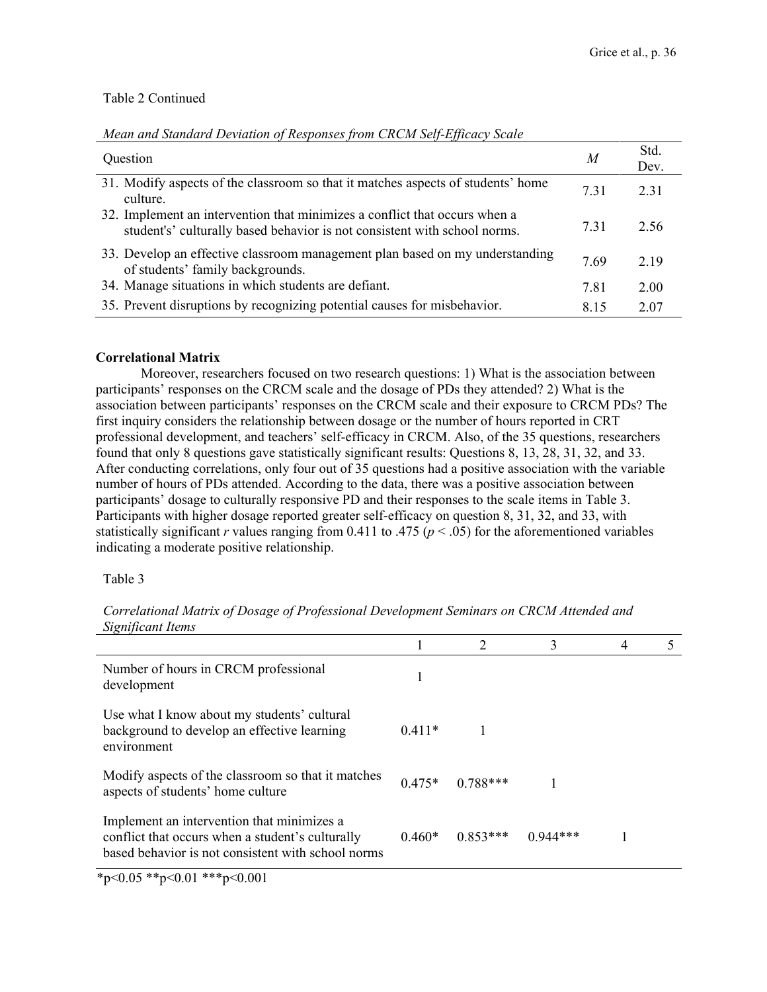# Table 2 Continued

| Question                                                                                                                                                | M    | Std.<br>Dev. |
|---------------------------------------------------------------------------------------------------------------------------------------------------------|------|--------------|
| 31. Modify aspects of the classroom so that it matches aspects of students' home<br>culture.                                                            | 7.31 | 2.31         |
| 32. Implement an intervention that minimizes a conflict that occurs when a<br>student's' culturally based behavior is not consistent with school norms. | 7.31 | 2.56         |
| 33. Develop an effective classroom management plan based on my understanding<br>of students' family backgrounds.                                        | 7.69 | 2.19         |
| 34. Manage situations in which students are defiant.                                                                                                    | 7.81 | 2.00         |
| 35. Prevent disruptions by recognizing potential causes for misbehavior.                                                                                | 8.15 | 2.07         |

# *Mean and Standard Deviation of Responses from CRCM Self-Efficacy Scale*

# **Correlational Matrix**

Moreover, researchers focused on two research questions: 1) What is the association between participants' responses on the CRCM scale and the dosage of PDs they attended? 2) What is the association between participants' responses on the CRCM scale and their exposure to CRCM PDs? The first inquiry considers the relationship between dosage or the number of hours reported in CRT professional development, and teachers' self-efficacy in CRCM. Also, of the 35 questions, researchers found that only 8 questions gave statistically significant results: Questions 8, 13, 28, 31, 32, and 33. After conducting correlations, only four out of 35 questions had a positive association with the variable number of hours of PDs attended. According to the data, there was a positive association between participants' dosage to culturally responsive PD and their responses to the scale items in Table 3. Participants with higher dosage reported greater self-efficacy on question 8, 31, 32, and 33, with statistically significant *r* values ranging from 0.411 to .475 ( $p < .05$ ) for the aforementioned variables indicating a moderate positive relationship.

Table 3

1 2 3 4 5 Number of hours in CRCM professional rumoet of hours in exemploiessional 1<br>development 1 Use what I know about my students' cultural background to develop an effective learning environment 0.411\* 1 Modify aspects of the classroom so that it matches aspects of students' home culture  $0.475*$   $0.788***$  1 aspects of students' home culture Implement an intervention that minimizes a conflict that occurs when a student's culturally based behavior is not consistent with school norms 0.460\* 0.853\*\*\* 0.944\*\*\* 1

*Correlational Matrix of Dosage of Professional Development Seminars on CRCM Attended and Significant Items*

 $*_{p<0.05}$   $*_{p<0.01}$   $*_{p<0.001}$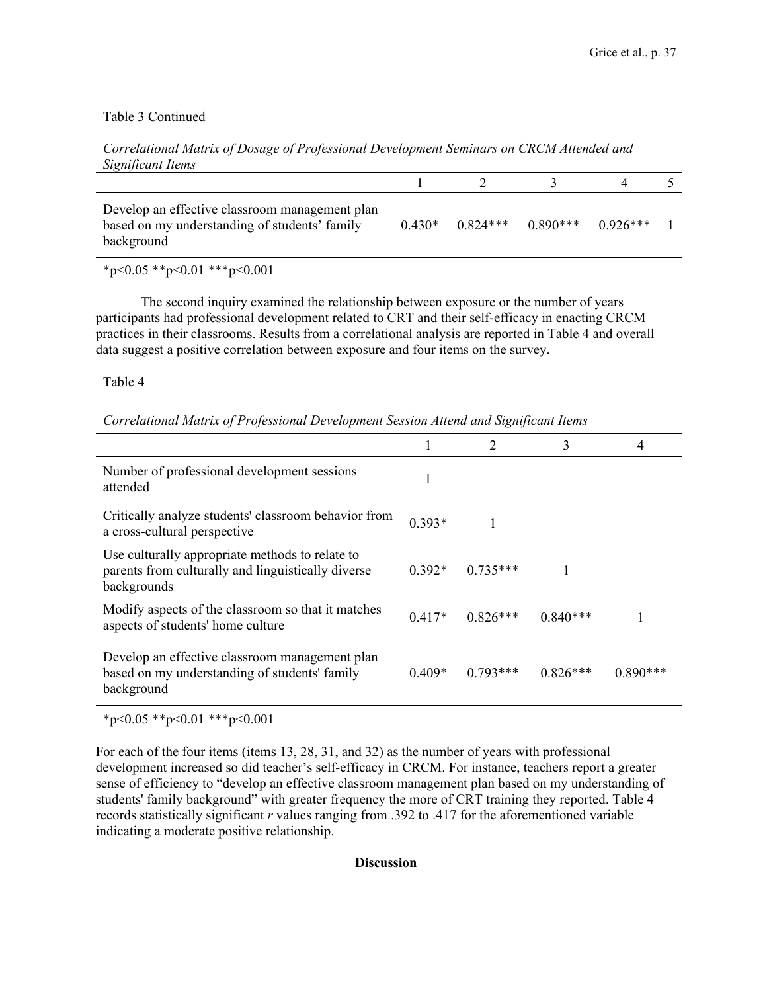# Table 3 Continued

| Significant Items                                                                                             |  |                                           |  |
|---------------------------------------------------------------------------------------------------------------|--|-------------------------------------------|--|
|                                                                                                               |  |                                           |  |
| Develop an effective classroom management plan<br>based on my understanding of students' family<br>background |  | $0.430*$ $0.824***$ $0.890***$ $0.926***$ |  |

*Correlational Matrix of Dosage of Professional Development Seminars on CRCM Attended and Significant Items*

 $*_{p<0.05}$   $*_{p<0.01}$   $*_{p<0.001}$ 

The second inquiry examined the relationship between exposure or the number of years participants had professional development related to CRT and their self-efficacy in enacting CRCM practices in their classrooms. Results from a correlational analysis are reported in Table 4 and overall data suggest a positive correlation between exposure and four items on the survey.

Table 4

*Correlational Matrix of Professional Development Session Attend and Significant Items*

|                                                                                                                      |          |            | 3          | 4          |
|----------------------------------------------------------------------------------------------------------------------|----------|------------|------------|------------|
| Number of professional development sessions<br>attended                                                              |          |            |            |            |
| Critically analyze students' classroom behavior from<br>a cross-cultural perspective                                 | $0.393*$ |            |            |            |
| Use culturally appropriate methods to relate to<br>parents from culturally and linguistically diverse<br>backgrounds | $0.392*$ | $0.735***$ |            |            |
| Modify aspects of the classroom so that it matches<br>aspects of students' home culture                              | $0.417*$ | $0.826***$ | $0.840***$ |            |
| Develop an effective classroom management plan<br>based on my understanding of students' family<br>background        | $0.409*$ | $0.793***$ | $0.826***$ | $0.890***$ |

 $*_{p<0.05}$   $*_{p<0.01}$   $*_{p<0.001}$ 

For each of the four items (items 13, 28, 31, and 32) as the number of years with professional development increased so did teacher's self-efficacy in CRCM. For instance, teachers report a greater sense of efficiency to "develop an effective classroom management plan based on my understanding of students' family background" with greater frequency the more of CRT training they reported. Table 4 records statistically significant *r* values ranging from .392 to .417 for the aforementioned variable indicating a moderate positive relationship.

# **Discussion**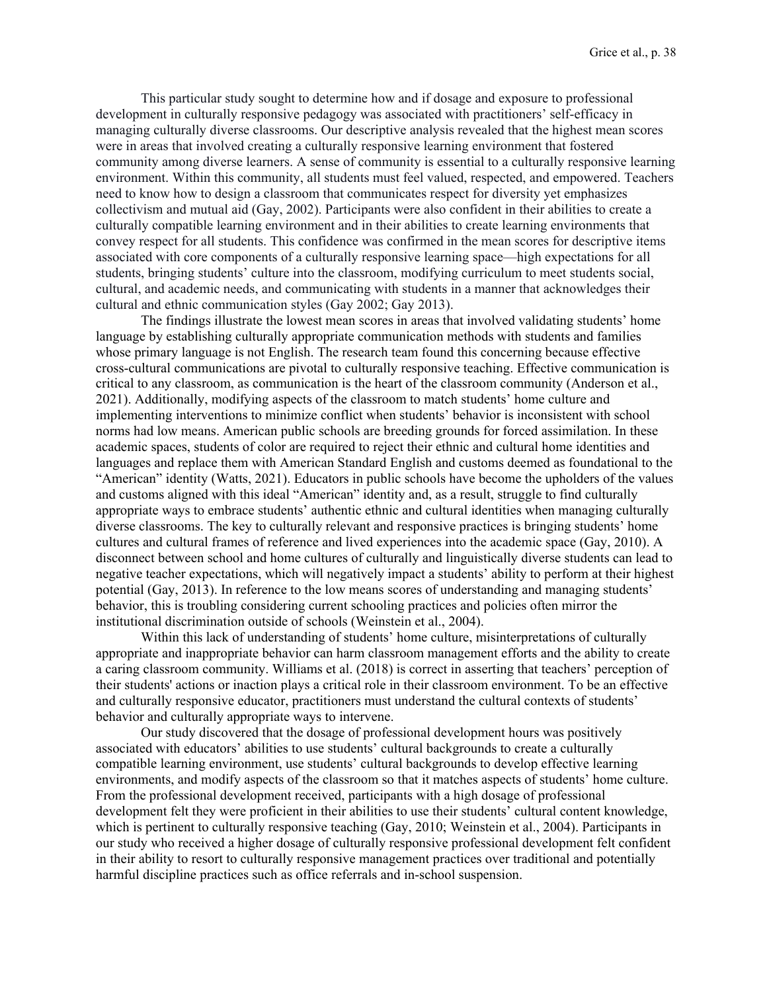This particular study sought to determine how and if dosage and exposure to professional development in culturally responsive pedagogy was associated with practitioners' self-efficacy in managing culturally diverse classrooms. Our descriptive analysis revealed that the highest mean scores were in areas that involved creating a culturally responsive learning environment that fostered community among diverse learners. A sense of community is essential to a culturally responsive learning environment. Within this community, all students must feel valued, respected, and empowered. Teachers need to know how to design a classroom that communicates respect for diversity yet emphasizes collectivism and mutual aid (Gay, 2002). Participants were also confident in their abilities to create a culturally compatible learning environment and in their abilities to create learning environments that convey respect for all students. This confidence was confirmed in the mean scores for descriptive items associated with core components of a culturally responsive learning space—high expectations for all students, bringing students' culture into the classroom, modifying curriculum to meet students social, cultural, and academic needs, and communicating with students in a manner that acknowledges their cultural and ethnic communication styles (Gay 2002; Gay 2013).

The findings illustrate the lowest mean scores in areas that involved validating students' home language by establishing culturally appropriate communication methods with students and families whose primary language is not English. The research team found this concerning because effective cross-cultural communications are pivotal to culturally responsive teaching. Effective communication is critical to any classroom, as communication is the heart of the classroom community (Anderson et al., 2021). Additionally, modifying aspects of the classroom to match students' home culture and implementing interventions to minimize conflict when students' behavior is inconsistent with school norms had low means. American public schools are breeding grounds for forced assimilation. In these academic spaces, students of color are required to reject their ethnic and cultural home identities and languages and replace them with American Standard English and customs deemed as foundational to the "American" identity (Watts, 2021). Educators in public schools have become the upholders of the values and customs aligned with this ideal "American" identity and, as a result, struggle to find culturally appropriate ways to embrace students' authentic ethnic and cultural identities when managing culturally diverse classrooms. The key to culturally relevant and responsive practices is bringing students' home cultures and cultural frames of reference and lived experiences into the academic space (Gay, 2010). A disconnect between school and home cultures of culturally and linguistically diverse students can lead to negative teacher expectations, which will negatively impact a students' ability to perform at their highest potential (Gay, 2013). In reference to the low means scores of understanding and managing students' behavior, this is troubling considering current schooling practices and policies often mirror the institutional discrimination outside of schools (Weinstein et al., 2004).

Within this lack of understanding of students' home culture, misinterpretations of culturally appropriate and inappropriate behavior can harm classroom management efforts and the ability to create a caring classroom community. Williams et al. (2018) is correct in asserting that teachers' perception of their students' actions or inaction plays a critical role in their classroom environment. To be an effective and culturally responsive educator, practitioners must understand the cultural contexts of students' behavior and culturally appropriate ways to intervene.

Our study discovered that the dosage of professional development hours was positively associated with educators' abilities to use students' cultural backgrounds to create a culturally compatible learning environment, use students' cultural backgrounds to develop effective learning environments, and modify aspects of the classroom so that it matches aspects of students' home culture. From the professional development received, participants with a high dosage of professional development felt they were proficient in their abilities to use their students' cultural content knowledge, which is pertinent to culturally responsive teaching (Gay, 2010; Weinstein et al., 2004). Participants in our study who received a higher dosage of culturally responsive professional development felt confident in their ability to resort to culturally responsive management practices over traditional and potentially harmful discipline practices such as office referrals and in-school suspension.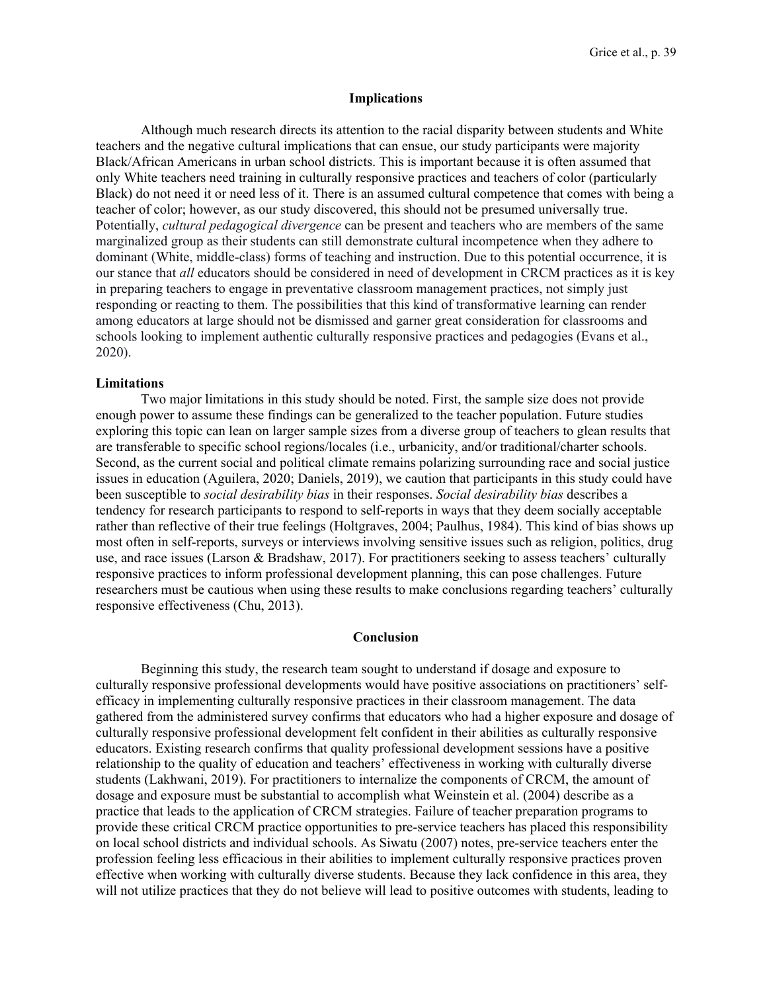#### **Implications**

Although much research directs its attention to the racial disparity between students and White teachers and the negative cultural implications that can ensue, our study participants were majority Black/African Americans in urban school districts. This is important because it is often assumed that only White teachers need training in culturally responsive practices and teachers of color (particularly Black) do not need it or need less of it. There is an assumed cultural competence that comes with being a teacher of color; however, as our study discovered, this should not be presumed universally true. Potentially, *cultural pedagogical divergence* can be present and teachers who are members of the same marginalized group as their students can still demonstrate cultural incompetence when they adhere to dominant (White, middle-class) forms of teaching and instruction. Due to this potential occurrence, it is our stance that *all* educators should be considered in need of development in CRCM practices as it is key in preparing teachers to engage in preventative classroom management practices, not simply just responding or reacting to them. The possibilities that this kind of transformative learning can render among educators at large should not be dismissed and garner great consideration for classrooms and schools looking to implement authentic culturally responsive practices and pedagogies (Evans et al., 2020).

#### **Limitations**

Two major limitations in this study should be noted. First, the sample size does not provide enough power to assume these findings can be generalized to the teacher population. Future studies exploring this topic can lean on larger sample sizes from a diverse group of teachers to glean results that are transferable to specific school regions/locales (i.e., urbanicity, and/or traditional/charter schools. Second, as the current social and political climate remains polarizing surrounding race and social justice issues in education (Aguilera, 2020; Daniels, 2019), we caution that participants in this study could have been susceptible to *social desirability bias* in their responses. *Social desirability bias* describes a tendency for research participants to respond to self-reports in ways that they deem socially acceptable rather than reflective of their true feelings (Holtgraves, 2004; Paulhus, 1984). This kind of bias shows up most often in self-reports, surveys or interviews involving sensitive issues such as religion, politics, drug use, and race issues (Larson & Bradshaw, 2017). For practitioners seeking to assess teachers' culturally responsive practices to inform professional development planning, this can pose challenges. Future researchers must be cautious when using these results to make conclusions regarding teachers' culturally responsive effectiveness (Chu, 2013).

# **Conclusion**

Beginning this study, the research team sought to understand if dosage and exposure to culturally responsive professional developments would have positive associations on practitioners' selfefficacy in implementing culturally responsive practices in their classroom management. The data gathered from the administered survey confirms that educators who had a higher exposure and dosage of culturally responsive professional development felt confident in their abilities as culturally responsive educators. Existing research confirms that quality professional development sessions have a positive relationship to the quality of education and teachers' effectiveness in working with culturally diverse students (Lakhwani, 2019). For practitioners to internalize the components of CRCM, the amount of dosage and exposure must be substantial to accomplish what Weinstein et al. (2004) describe as a practice that leads to the application of CRCM strategies. Failure of teacher preparation programs to provide these critical CRCM practice opportunities to pre-service teachers has placed this responsibility on local school districts and individual schools. As Siwatu (2007) notes, pre-service teachers enter the profession feeling less efficacious in their abilities to implement culturally responsive practices proven effective when working with culturally diverse students. Because they lack confidence in this area, they will not utilize practices that they do not believe will lead to positive outcomes with students, leading to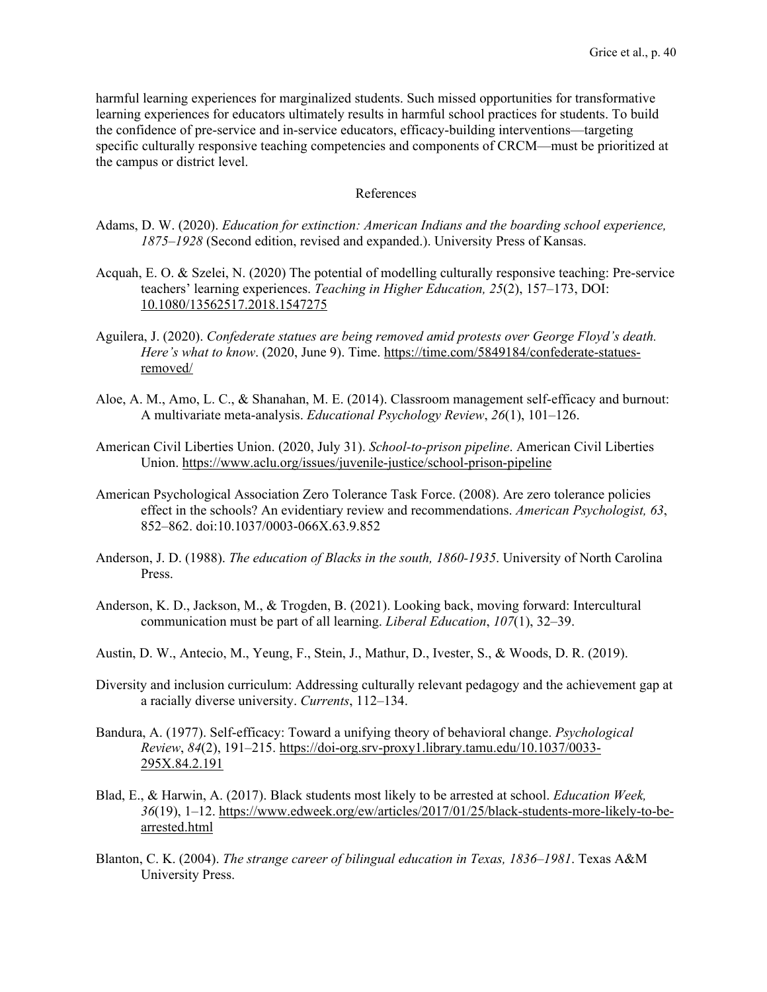harmful learning experiences for marginalized students. Such missed opportunities for transformative learning experiences for educators ultimately results in harmful school practices for students. To build the confidence of pre-service and in-service educators, efficacy-building interventions—targeting specific culturally responsive teaching competencies and components of CRCM—must be prioritized at the campus or district level.

# References

- Adams, D. W. (2020). *Education for extinction: American Indians and the boarding school experience, 1875–1928* (Second edition, revised and expanded.). University Press of Kansas.
- Acquah, E. O. & Szelei, N. (2020) The potential of modelling culturally responsive teaching: Pre-service teachers' learning experiences. *Teaching in Higher Education, 25*(2), 157–173, DOI: [10.1080/13562517.2018.1547275](https://doi-org.srv-proxy2.library.tamu.edu/10.1080/13562517.2018.1547275)
- Aguilera, J. (2020). *Confederate statues are being removed amid protests over George Floyd's death. Here's what to know*. (2020, June 9). Time. [https://time.com/5849184/confederate-statues](https://time.com/5849184/confederate-statues-removed/)[removed/](https://time.com/5849184/confederate-statues-removed/)
- Aloe, A. M., Amo, L. C., & Shanahan, M. E. (2014). Classroom management self-efficacy and burnout: A multivariate meta-analysis. *Educational Psychology Review*, *26*(1), 101–126.
- American Civil Liberties Union. (2020, July 31). *School-to-prison pipeline*. American Civil Liberties Union.<https://www.aclu.org/issues/juvenile-justice/school-prison-pipeline>
- American Psychological Association Zero Tolerance Task Force. (2008). Are zero tolerance policies effect in the schools? An evidentiary review and recommendations. *American Psychologist, 63*, 852–862. doi:10.1037/0003-066X.63.9.852
- Anderson, J. D. (1988). *The education of Blacks in the south, 1860-1935*. University of North Carolina Press.
- Anderson, K. D., Jackson, M., & Trogden, B. (2021). Looking back, moving forward: Intercultural communication must be part of all learning. *Liberal Education*, *107*(1), 32–39.
- Austin, D. W., Antecio, M., Yeung, F., Stein, J., Mathur, D., Ivester, S., & Woods, D. R. (2019).
- Diversity and inclusion curriculum: Addressing culturally relevant pedagogy and the achievement gap at a racially diverse university. *Currents*, 112–134.
- Bandura, A. (1977). Self-efficacy: Toward a unifying theory of behavioral change. *Psychological Review*, *84*(2), 191–215. [https://doi-org.srv-proxy1.library.tamu.edu/10.1037/0033-](https://doi-org.srv-proxy1.library.tamu.edu/10.1037/0033-295X.84.2.191) [295X.84.2.191](https://doi-org.srv-proxy1.library.tamu.edu/10.1037/0033-295X.84.2.191)
- Blad, E., & Harwin, A. (2017). Black students most likely to be arrested at school. *Education Week, 36*(19), 1–12. [https://www.edweek.org/ew/articles/2017/01/25/black-students-more-likely-to-be](https://www.edweek.org/ew/articles/2017/01/25/black-students-more-likely-to-be-arrested.html)[arrested.html](https://www.edweek.org/ew/articles/2017/01/25/black-students-more-likely-to-be-arrested.html)
- Blanton, C. K. (2004). *The strange career of bilingual education in Texas, 1836–1981*. Texas A&M University Press.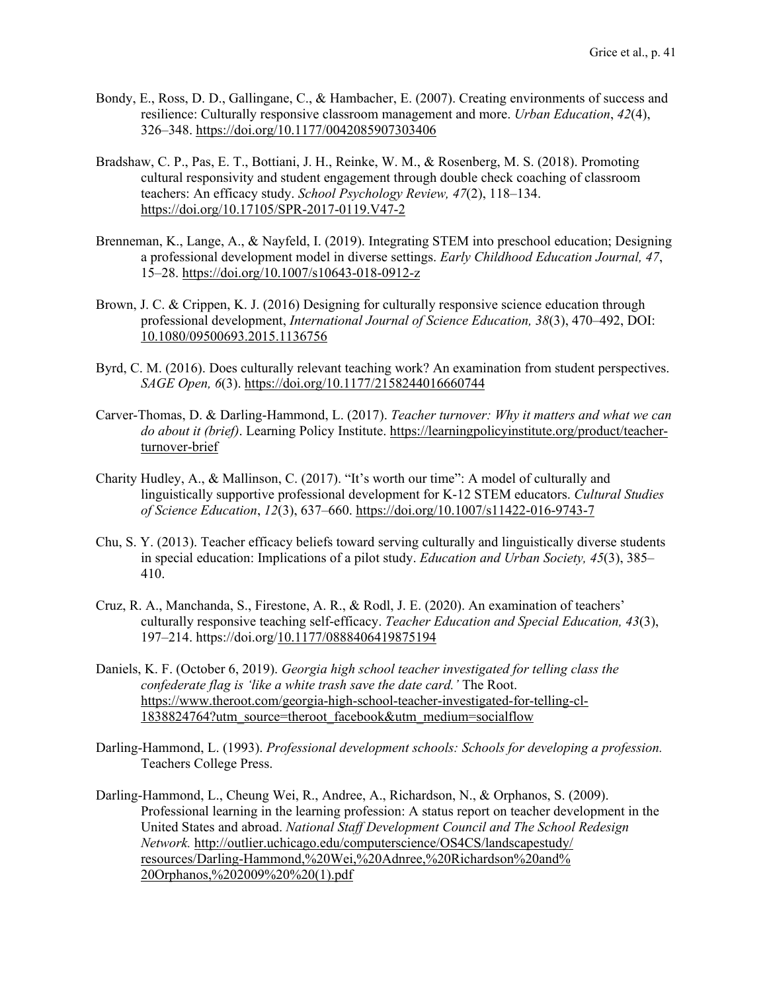- Bondy, E., Ross, D. D., Gallingane, C., & Hambacher, E. (2007). Creating environments of success and resilience: Culturally responsive classroom management and more. *Urban Education*, *42*(4), 326–348. https://doi.org[/10.1177/0042085907303406](https://doi-org.srv-proxy2.library.tamu.edu/10.1177/0042085907303406)
- Bradshaw, C. P., Pas, E. T., Bottiani, J. H., Reinke, W. M., & Rosenberg, M. S. (2018). Promoting cultural responsivity and student engagement through double check coaching of classroom teachers: An efficacy study. *School Psychology Review, 47*(2), 118–134. <https://doi.org/10.17105/SPR-2017-0119.V47-2>
- Brenneman, K., Lange, A., & Nayfeld, I. (2019). Integrating STEM into preschool education; Designing a professional development model in diverse settings. *Early Childhood Education Journal, 47*, 15–28.<https://doi.org/10.1007/s10643-018-0912-z>
- Brown, J. C. & Crippen, K. J. (2016) Designing for culturally responsive science education through professional development, *International Journal of Science Education, 38*(3), 470–492, DOI: [10.1080/09500693.2015.1136756](https://doi-org.srv-proxy1.library.tamu.edu/10.1080/09500693.2015.1136756)
- Byrd, C. M. (2016). Does culturally relevant teaching work? An examination from student perspectives. *SAGE Open, 6*(3).<https://doi.org/10.1177/2158244016660744>
- Carver-Thomas, D. & Darling-Hammond, L. (2017). *Teacher turnover: Why it matters and what we can do about it (brief)*. Learning Policy Institute. https://learningpolicyinstitute.org/product/teacherturnover-brief
- Charity Hudley, A., & Mallinson, C. (2017). "It's worth our time": A model of culturally and linguistically supportive professional development for K-12 STEM educators. *Cultural Studies of Science Education*, *12*(3), 637–660. https://doi.org/10.1007/s11422-016-9743-7
- Chu, S. Y. (2013). Teacher efficacy beliefs toward serving culturally and linguistically diverse students in special education: Implications of a pilot study. *Education and Urban Society, 45*(3), 385– 410.
- Cruz, R. A., Manchanda, S., Firestone, A. R., & Rodl, J. E. (2020). An examination of teachers' culturally responsive teaching self-efficacy. *Teacher Education and Special Education, 43*(3), 197–214. https://doi.org[/10.1177/0888406419875194](https://doi-org.srv-proxy1.library.tamu.edu/10.1177/0888406419875194)
- Daniels, K. F. (October 6, 2019). *Georgia high school teacher investigated for telling class the confederate flag is 'like a white trash save the date card.'* The Root. [https://www.theroot.com/georgia-high-school-teacher-investigated-for-telling-cl-](https://www.theroot.com/georgia-high-school-teacher-investigated-for-telling-cl-1838824764?utm_source=theroot_facebook&utm_medium=socialflow)[1838824764?utm\\_source=theroot\\_facebook&utm\\_medium=socialflow](https://www.theroot.com/georgia-high-school-teacher-investigated-for-telling-cl-1838824764?utm_source=theroot_facebook&utm_medium=socialflow)
- Darling-Hammond, L. (1993). *Professional development schools: Schools for developing a profession.* Teachers College Press.
- Darling-Hammond, L., Cheung Wei, R., Andree, A., Richardson, N., & Orphanos, S. (2009). Professional learning in the learning profession: A status report on teacher development in the United States and abroad. *National Staff Development Council and The School Redesign Network.* http://outlier.uchicago.edu/computerscience/OS4CS/landscapestudy/ resources/Darling-[Hammond,%20Wei,%20Adnree,%20Richardson%20and%](http://outlier.uchicago.edu/computerscience/OS4CS/landscapestudy/resources/Darling-Hammond,%20Wei,%20Adnree,%20Richardson%20and%20Orphanos,%202009%20%20(1).pdf) [20Orphanos,%202009%20%20\(1\).pdf](http://outlier.uchicago.edu/computerscience/OS4CS/landscapestudy/resources/Darling-Hammond,%20Wei,%20Adnree,%20Richardson%20and%20Orphanos,%202009%20%20(1).pdf)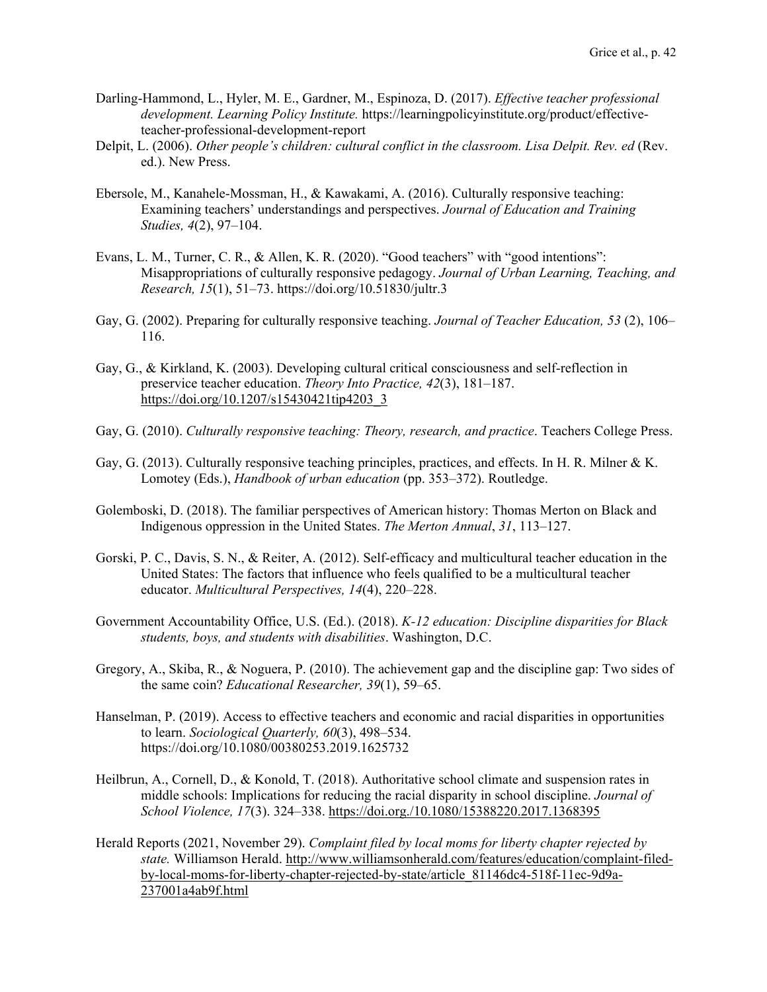- Darling-Hammond, L., Hyler, M. E., Gardner, M., Espinoza, D. (2017). *Effective teacher professional development. Learning Policy Institute.* https://learningpolicyinstitute.org/product/effectiveteacher-professional-development-report
- Delpit, L. (2006). *Other people's children: cultural conflict in the classroom. Lisa Delpit. Rev. ed* (Rev. ed.). New Press.
- Ebersole, M., Kanahele-Mossman, H., & Kawakami, A. (2016). Culturally responsive teaching: Examining teachers' understandings and perspectives. *Journal of Education and Training Studies, 4*(2), 97–104.
- Evans, L. M., Turner, C. R., & Allen, K. R. (2020). "Good teachers" with "good intentions": Misappropriations of culturally responsive pedagogy. *Journal of Urban Learning, Teaching, and Research, 15*(1), 51–73. https://doi.org/10.51830/jultr.3
- Gay, G. (2002). Preparing for culturally responsive teaching. *Journal of Teacher Education, 53* (2), 106– 116.
- Gay, G., & Kirkland, K. (2003). Developing cultural critical consciousness and self-reflection in preservice teacher education. *Theory Into Practice, 42*(3), 181–187. [https://doi.org/10.1207/s15430421tip4203\\_3](https://doi.org/10.1207/s15430421tip4203_3)
- Gay, G. (2010). *Culturally responsive teaching: Theory, research, and practice*. Teachers College Press.
- Gay, G. (2013). Culturally responsive teaching principles, practices, and effects. In H. R. Milner & K. Lomotey (Eds.), *Handbook of urban education* (pp. 353–372). Routledge.
- Golemboski, D. (2018). The familiar perspectives of American history: Thomas Merton on Black and Indigenous oppression in the United States. *The Merton Annual*, *31*, 113–127.
- Gorski, P. C., Davis, S. N., & Reiter, A. (2012). Self-efficacy and multicultural teacher education in the United States: The factors that influence who feels qualified to be a multicultural teacher educator. *Multicultural Perspectives, 14*(4), 220–228.
- Government Accountability Office, U.S. (Ed.). (2018). *K-12 education: Discipline disparities for Black students, boys, and students with disabilities*. Washington, D.C.
- Gregory, A., Skiba, R., & Noguera, P. (2010). The achievement gap and the discipline gap: Two sides of the same coin? *Educational Researcher, 39*(1), 59–65.
- Hanselman, P. (2019). Access to effective teachers and economic and racial disparities in opportunities to learn. *Sociological Quarterly, 60*(3), 498–534. https://doi.org/10.1080/00380253.2019.1625732
- Heilbrun, A., Cornell, D., & Konold, T. (2018). Authoritative school climate and suspension rates in middle schools: Implications for reducing the racial disparity in school discipline. *Journal of School Violence, 17*(3). 324–338.<https://doi.org./10.1080/15388220.2017.1368395>
- Herald Reports (2021, November 29). *Complaint filed by local moms for liberty chapter rejected by state.* Williamson Herald. [http://www.williamsonherald.com/features/education/complaint-filed](http://www.williamsonherald.com/features/education/complaint-filed-by-local-moms-for-liberty-chapter-rejected-by-state/article_81146dc4-518f-11ec-9d9a-237001a4ab9f.html)[by-local-moms-for-liberty-chapter-rejected-by-state/article\\_81146dc4-518f-11ec-9d9a-](http://www.williamsonherald.com/features/education/complaint-filed-by-local-moms-for-liberty-chapter-rejected-by-state/article_81146dc4-518f-11ec-9d9a-237001a4ab9f.html)[237001a4ab9f.html](http://www.williamsonherald.com/features/education/complaint-filed-by-local-moms-for-liberty-chapter-rejected-by-state/article_81146dc4-518f-11ec-9d9a-237001a4ab9f.html)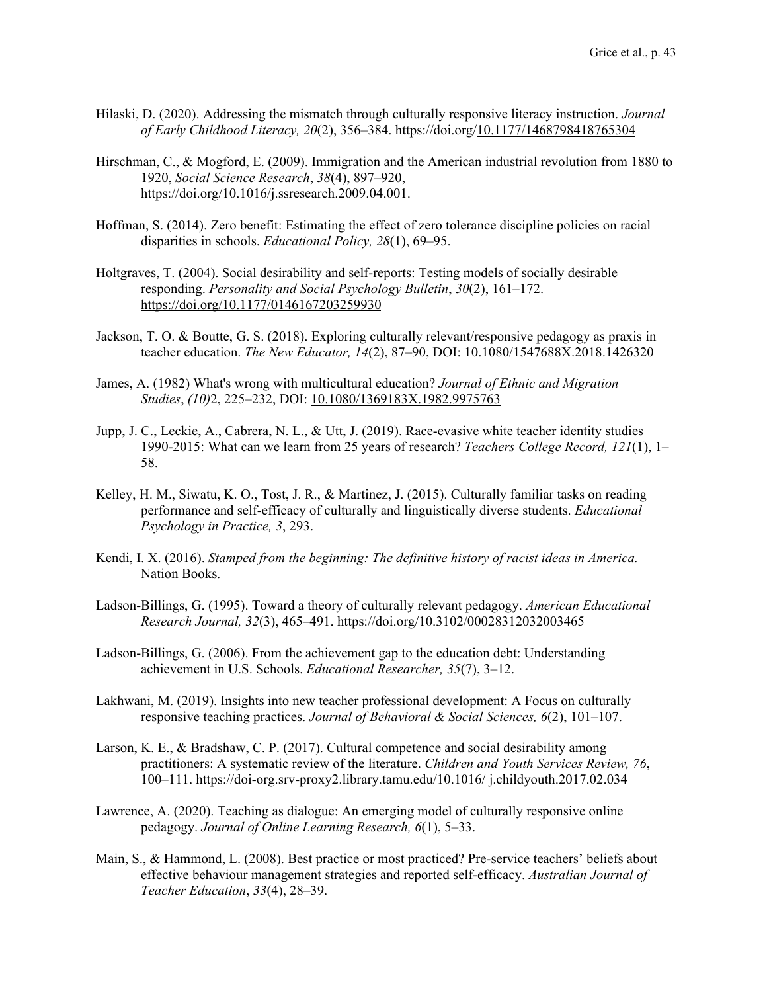- Hilaski, D. (2020). Addressing the mismatch through culturally responsive literacy instruction. *Journal of Early Childhood Literacy, 20*(2), 356–384. https://doi.org[/10.1177/1468798418765304](https://doi-org.srv-proxy1.library.tamu.edu/10.1177/1468798418765304)
- Hirschman, C., & Mogford, E. (2009). Immigration and the American industrial revolution from 1880 to 1920, *Social Science Research*, *38*(4), 897–920, https://doi.org/10.1016/j.ssresearch.2009.04.001.
- Hoffman, S. (2014). Zero benefit: Estimating the effect of zero tolerance discipline policies on racial disparities in schools. *Educational Policy, 28*(1), 69–95.
- Holtgraves, T. (2004). Social desirability and self-reports: Testing models of socially desirable responding. *Personality and Social Psychology Bulletin*, *30*(2), 161–172. <https://doi.org/10.1177/0146167203259930>
- Jackson, T. O. & Boutte, G. S. (2018). Exploring culturally relevant/responsive pedagogy as praxis in teacher education. *The New Educator, 14*(2), 87–90, DOI: [10.1080/1547688X.2018.1426320](https://doi-org.srv-proxy1.library.tamu.edu/10.1080/1547688X.2018.1426320)
- James, A. (1982) What's wrong with multicultural education? *Journal of Ethnic and Migration Studies*, *(10)*2, 225–232, DOI: [10.1080/1369183X.1982.9975763](https://doi-org.srv-proxy1.library.tamu.edu/10.1080/1369183X.1982.9975763)
- Jupp, J. C., Leckie, A., Cabrera, N. L., & Utt, J. (2019). Race-evasive white teacher identity studies 1990-2015: What can we learn from 25 years of research? *Teachers College Record, 121*(1), 1– 58.
- Kelley, H. M., Siwatu, K. O., Tost, J. R., & Martinez, J. (2015). Culturally familiar tasks on reading performance and self-efficacy of culturally and linguistically diverse students. *Educational Psychology in Practice, 3*, 293.
- Kendi, I. X. (2016). *Stamped from the beginning: The definitive history of racist ideas in America.* Nation Books.
- Ladson-Billings, G. (1995). Toward a theory of culturally relevant pedagogy. *American Educational Research Journal, 32*(3), 465–491. https://doi.org[/10.3102/00028312032003465](https://doi-org.srv-proxy1.library.tamu.edu/10.3102/00028312032003465)
- Ladson-Billings, G. (2006). From the achievement gap to the education debt: Understanding achievement in U.S. Schools. *Educational Researcher, 35*(7), 3–12.
- Lakhwani, M. (2019). Insights into new teacher professional development: A Focus on culturally responsive teaching practices. *Journal of Behavioral & Social Sciences, 6*(2), 101–107.
- Larson, K. E., & Bradshaw, C. P. (2017). Cultural competence and social desirability among practitioners: A systematic review of the literature. *Children and Youth Services Review, 76*, 100–111. [https://doi-org.srv-proxy2.library.tamu.edu/10.1016/ j.childyouth.2017.02.034](https://doi-org.srv-proxy2.library.tamu.edu/10.1016/%20j.childyouth.2017.02.034)
- Lawrence, A. (2020). Teaching as dialogue: An emerging model of culturally responsive online pedagogy. *Journal of Online Learning Research, 6*(1), 5–33.
- Main, S., & Hammond, L. (2008). Best practice or most practiced? Pre-service teachers' beliefs about effective behaviour management strategies and reported self-efficacy. *Australian Journal of Teacher Education*, *33*(4), 28–39.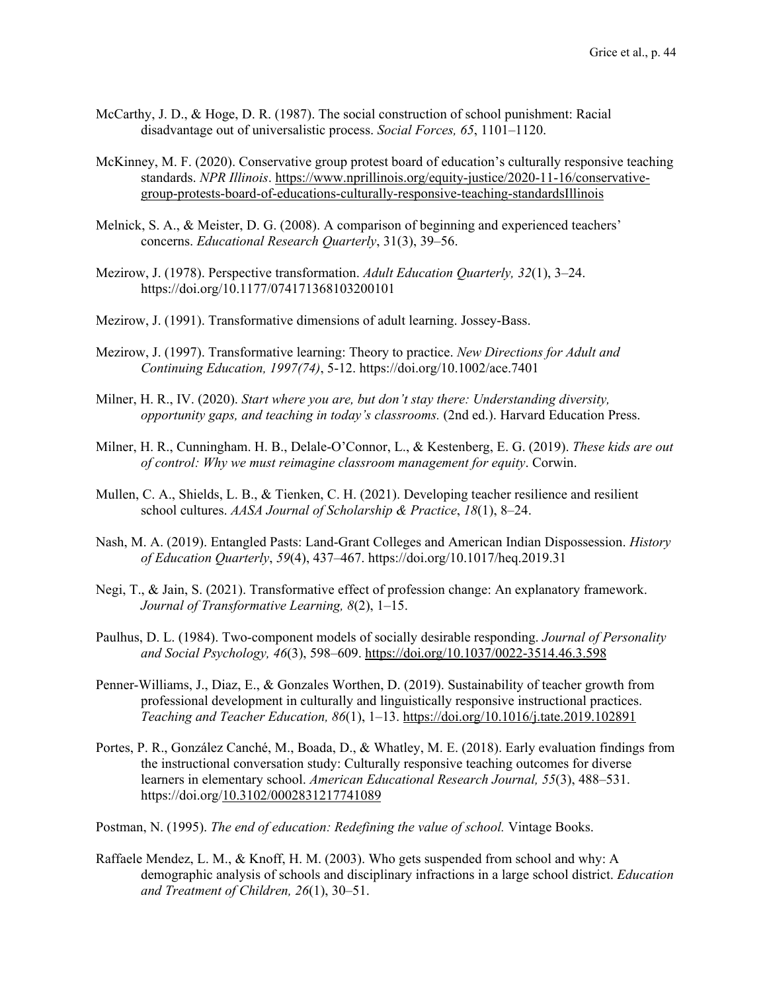- McCarthy, J. D., & Hoge, D. R. (1987). The social construction of school punishment: Racial disadvantage out of universalistic process. *Social Forces, 65*, 1101–1120.
- McKinney, M. F. (2020). Conservative group protest board of education's culturally responsive teaching standards. *NPR Illinois*[. https://www.nprillinois.org/equity-justice/2020-11-16/conservative](https://www.nprillinois.org/equity-justice/2020-11-16/conservative-group-protests-board-of-educations-culturally-responsive-teaching-standards)[group-protests-board-of-educations-culturally-responsive-teaching-standardsIllinois](https://www.nprillinois.org/equity-justice/2020-11-16/conservative-group-protests-board-of-educations-culturally-responsive-teaching-standards)
- Melnick, S. A., & Meister, D. G. (2008). A comparison of beginning and experienced teachers' concerns. *Educational Research Quarterly*, 31(3), 39–56.
- Mezirow, J. (1978). Perspective transformation. *Adult Education Quarterly, 32*(1), 3–24. https://doi.org/10.1177/074171368103200101
- Mezirow, J. (1991). Transformative dimensions of adult learning. Jossey-Bass.
- Mezirow, J. (1997). Transformative learning: Theory to practice. *New Directions for Adult and Continuing Education, 1997(74)*, 5-12. https://doi.org/10.1002/ace.7401
- Milner, H. R., IV. (2020). *Start where you are, but don't stay there: Understanding diversity, opportunity gaps, and teaching in today's classrooms.* (2nd ed.). Harvard Education Press.
- Milner, H. R., Cunningham. H. B., Delale-O'Connor, L., & Kestenberg, E. G. (2019). *These kids are out of control: Why we must reimagine classroom management for equity*. Corwin.
- Mullen, C. A., Shields, L. B., & Tienken, C. H. (2021). Developing teacher resilience and resilient school cultures. *AASA Journal of Scholarship & Practice*, *18*(1), 8–24.
- Nash, M. A. (2019). Entangled Pasts: Land-Grant Colleges and American Indian Dispossession. *History of Education Quarterly*, *59*(4), 437–467. https://doi.org/10.1017/heq.2019.31
- Negi, T., & Jain, S. (2021). Transformative effect of profession change: An explanatory framework. *Journal of Transformative Learning, 8*(2), 1–15.
- Paulhus, D. L. (1984). Two-component models of socially desirable responding. *Journal of Personality and Social Psychology, 46*(3), 598–609. [https://doi.org/10.1037/0022-3514.46.3.598](https://doi.apa.org/doi/10.1037/0022-3514.46.3.598)
- Penner-Williams, J., Diaz, E., & Gonzales Worthen, D. (2019). Sustainability of teacher growth from professional development in culturally and linguistically responsive instructional practices. *Teaching and Teacher Education, 86*(1), 1–13.<https://doi.org/10.1016/j.tate.2019.102891>
- Portes, P. R., González Canché, M., Boada, D., & Whatley, M. E. (2018). Early evaluation findings from the instructional conversation study: Culturally responsive teaching outcomes for diverse learners in elementary school. *American Educational Research Journal, 55*(3), 488–531. https://doi.org[/10.3102/0002831217741089](https://doi-org.srv-proxy2.library.tamu.edu/10.3102/0002831217741089)
- Postman, N. (1995). *The end of education: Redefining the value of school.* Vintage Books.
- Raffaele Mendez, L. M., & Knoff, H. M. (2003). Who gets suspended from school and why: A demographic analysis of schools and disciplinary infractions in a large school district. *Education and Treatment of Children, 26*(1), 30–51.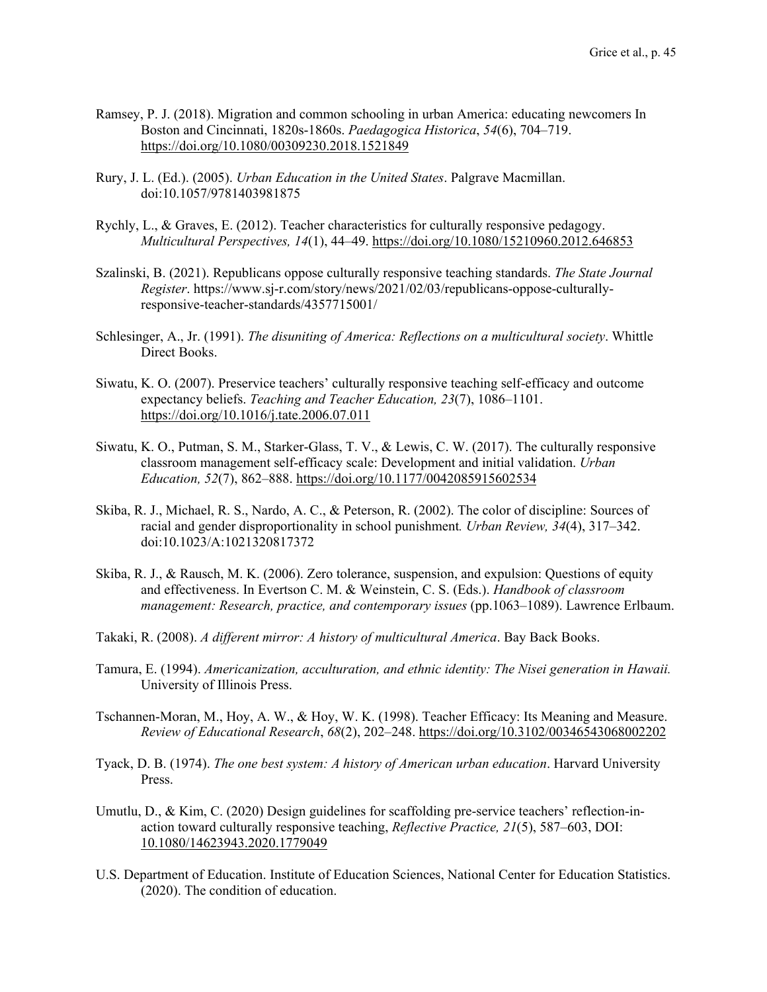- Ramsey, P. J. (2018). Migration and common schooling in urban America: educating newcomers In Boston and Cincinnati, 1820s-1860s. *Paedagogica Historica*, *54*(6), 704–719. <https://doi.org/10.1080/00309230.2018.1521849>
- Rury, J. L. (Ed.). (2005). *Urban Education in the United States*. Palgrave Macmillan. doi:10.1057/9781403981875
- Rychly, L., & Graves, E. (2012). Teacher characteristics for culturally responsive pedagogy. *Multicultural Perspectives, 14*(1), 44–49.<https://doi.org/10.1080/15210960.2012.646853>
- Szalinski, B. (2021). Republicans oppose culturally responsive teaching standards. *The State Journal Register*. https://www.sj-r.com/story/news/2021/02/03/republicans-oppose-culturallyresponsive-teacher-standards/4357715001/
- Schlesinger, A., Jr. (1991). *The disuniting of America: Reflections on a multicultural society*. Whittle Direct Books.
- Siwatu, K. O. (2007). Preservice teachers' culturally responsive teaching self-efficacy and outcome expectancy beliefs. *Teaching and Teacher Education, 23*(7), 1086–1101. <https://doi.org/10.1016/j.tate.2006.07.011>
- Siwatu, K. O., Putman, S. M., Starker-Glass, T. V., & Lewis, C. W. (2017). The culturally responsive classroom management self-efficacy scale: Development and initial validation. *Urban Education, 52*(7), 862–888.<https://doi.org/10.1177/0042085915602534>
- Skiba, R. J., Michael, R. S., Nardo, A. C., & Peterson, R. (2002). The color of discipline: Sources of racial and gender disproportionality in school punishment*. Urban Review, 34*(4), 317–342. doi:10.1023/A:1021320817372
- Skiba, R. J., & Rausch, M. K. (2006). Zero tolerance, suspension, and expulsion: Questions of equity and effectiveness. In Evertson C. M. & Weinstein, C. S. (Eds.). *Handbook of classroom management: Research, practice, and contemporary issues* (pp.1063–1089). Lawrence Erlbaum.
- Takaki, R. (2008). *A different mirror: A history of multicultural America*. Bay Back Books.
- Tamura, E. (1994). *Americanization, acculturation, and ethnic identity: The Nisei generation in Hawaii.* University of Illinois Press.
- Tschannen-Moran, M., Hoy, A. W., & Hoy, W. K. (1998). Teacher Efficacy: Its Meaning and Measure. *Review of Educational Research*, *68*(2), 202–248. https://doi.org[/10.3102/00346543068002202](https://doi-org.srv-proxy1.library.tamu.edu/10.3102/00346543068002202)
- Tyack, D. B. (1974). *The one best system: A history of American urban education*. Harvard University Press.
- Umutlu, D., & Kim, C. (2020) Design guidelines for scaffolding pre-service teachers' reflection-inaction toward culturally responsive teaching, *Reflective Practice, 21*(5), 587–603, DOI: [10.1080/14623943.2020.1779049](https://doi-org.srv-proxy1.library.tamu.edu/10.1080/14623943.2020.1779049)
- U.S. Department of Education. Institute of Education Sciences, National Center for Education Statistics. (2020). The condition of education.